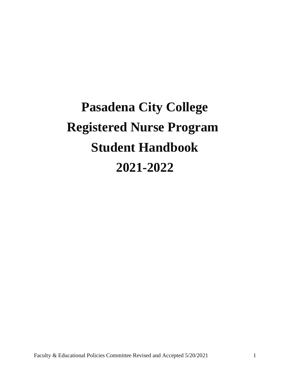# **Pasadena City College Registered Nurse Program Student Handbook 2021-2022**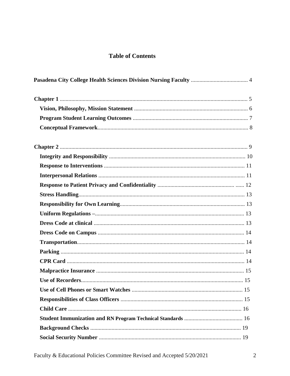# **Table of Contents**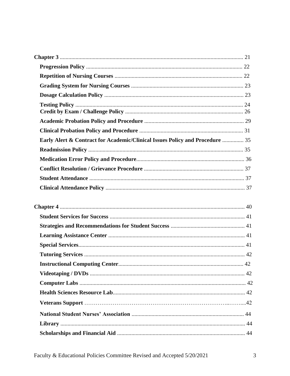| <b>Early Alert &amp; Contract for Academic/Clinical Issues Policy and Procedure  35</b> |  |
|-----------------------------------------------------------------------------------------|--|
|                                                                                         |  |
|                                                                                         |  |
|                                                                                         |  |
|                                                                                         |  |
|                                                                                         |  |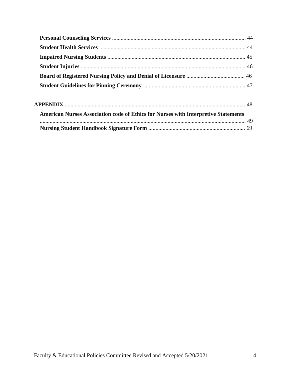| <b>American Nurses Association code of Ethics for Nurses with Interpretive Statements</b> |  |
|-------------------------------------------------------------------------------------------|--|

| <b>American Nurses Association code of Ethics for Nurses with Interpretive Statements</b> |  |
|-------------------------------------------------------------------------------------------|--|
|                                                                                           |  |
|                                                                                           |  |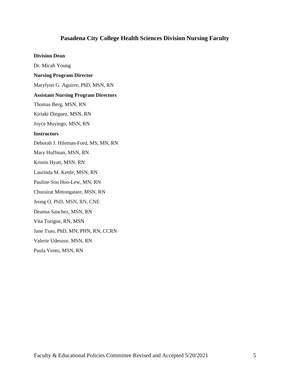#### **Pasadena City College Health Sciences Division Nursing Faculty**

#### **Division Dean**

Dr. Micah Young **Nursing Program Director**  Marylynn G. Aguirre, PhD, MSN, RN **Assistant Nursing Program Directors**  Thomas Berg, MSN, RN Kiriaki Dieguez, MSN, RN Joyce Muyingo, MSN, RN **Instructors**  Deborah J. Hileman-Ford, MS, MN, RN Mary Huffman, MSN, RN Kristin Hyatt, MSN, RN Laurinda M. Kettle, MSN, RN Pauline Soo Hoo-Lew, MN, RN Churairat Mittongatare, MSN, RN Jeong O, PhD, MSN, RN, CNE Deanna Sanchez, MSN, RN Vita Torigoe, RN, MSN Jane Tsao, PhD, MN, PHN, RN, CCRN Valerie Udeozor, MSN, RN Paula Vento, MSN, RN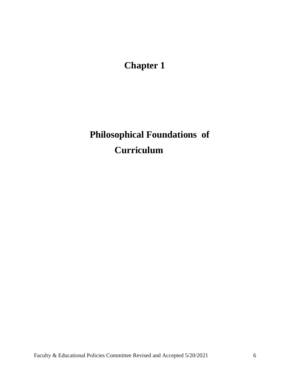**Chapter 1** 

**Philosophical Foundations of Curriculum**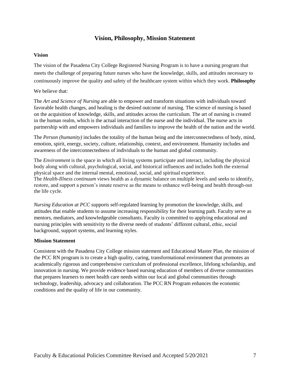# **Vision, Philosophy, Mission Statement**

#### **Vision**

The vision of the Pasadena City College Registered Nursing Program is to have a nursing program that meets the challenge of preparing future nurses who have the knowledge, skills, and attitudes necessary to continuously improve the quality and safety of the healthcare system within which they work. **Philosophy** 

#### We believe that:

The *Art and Science of Nursing* are able to empower and transform situations with individuals toward favorable health changes, and healing is the desired outcome of nursing. The science of nursing is based on the acquisition of knowledge, skills, and attitudes across the curriculum. The art of nursing is created in the human realm, which is the actual interaction of the nurse and the individual. The nurse acts in partnership with and empowers individuals and families to improve the health of the nation and the world.

The *Person (humanity)* includes the totality of the human being and the interconnectedness of body, mind, emotion, spirit, energy, society, culture, relationship, context, and environment. Humanity includes and awareness of the interconnectedness of individuals to the human and global community.

The *Environment* is the space in which all living systems participate and interact, including the physical body along with cultural, psychological, social, and historical influences and includes both the external physical space and the internal mental, emotional, social, and spiritual experience. The *Health-Illness continuum* views health as a dynamic balance on multiple levels and seeks to identify, restore, and support a person's innate reserve as the means to enhance well-being and health through-out the life cycle.

*Nursing Education at PCC* supports self-regulated learning by promotion the knowledge, skills, and attitudes that enable students to assume increasing responsibility for their learning path. Faculty serve as mentors, mediators, and knowledgeable consultants. Faculty is committed to applying educational and nursing principles with sensitivity to the diverse needs of students' different cultural, ethic, social background, support systems, and learning styles.

#### **Mission Statement**

Consistent with the Pasadena City College mission statement and Educational Master Plan, the mission of the PCC RN program is to create a high quality, caring, transformational environment that promotes an academically rigorous and comprehensive curriculum of professional excellence, lifelong scholarship, and innovation in nursing. We provide evidence based nursing education of members of diverse communities that prepares learners to meet health care needs within our local and global communities through technology, leadership, advocacy and collaboration. The PCC RN Program enhances the economic conditions and the quality of life in our community.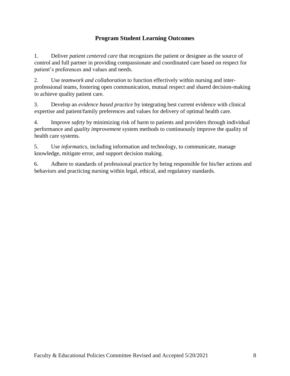# **Program Student Learning Outcomes**

1. Deliver *patient centered care* that recognizes the patient or designee as the source of control and full partner in providing compassionate and coordinated care based on respect for patient's preferences and values and needs.

2. Use *teamwork and collaboration* to function effectively within nursing and interprofessional teams, fostering open communication, mutual respect and shared decision-making to achieve quality patient care.

3. Develop an *evidence based practice* by integrating best current evidence with clinical expertise and patient/family preferences and values for delivery of optimal health care.

4. Improve *safety* by minimizing risk of harm to patients and providers through individual performance and *quality improvement* system methods to continuously improve the quality of health care systems.

5. Use *informatics,* including information and technology, to communicate, manage knowledge, mitigate error, and support decision making.

6. Adhere to standards of professional practice by being responsible for his/her actions and behaviors and practicing nursing within legal, ethical, and regulatory standards.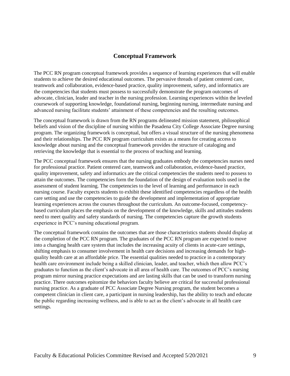#### **Conceptual Framework**

The PCC RN program conceptual framework provides a sequence of learning experiences that will enable students to achieve the desired educational outcomes. The pervasive threads of patient centered care, teamwork and collaboration, evidence-based practice, quality improvement, safety, and informatics are the competencies that students must possess to successfully demonstrate the program outcomes of advocate, clinician, leader and teacher in the nursing profession. Learning experiences within the leveled coursework of supporting knowledge, foundational nursing, beginning nursing, intermediate nursing and advanced nursing facilitate students' attainment of these competencies and the resulting outcomes.

The conceptual framework is drawn from the RN programs delineated mission statement, philosophical beliefs and vision of the discipline of nursing within the Pasadena City College Associate Degree nursing program. The organizing framework is conceptual, but offers a visual structure of the nursing phenomena and their relationships. The PCC RN program curriculum exists as a means for creating access to knowledge about nursing and the conceptual framework provides the structure of cataloging and retrieving the knowledge that is essential to the process of teaching and learning.

The PCC conceptual framework ensures that the nursing graduates embody the competencies nurses need for professional practice. Patient centered care, teamwork and collaboration, evidence-based practice, quality improvement, safety and informatics are the critical competencies the students need to possess to attain the outcomes. The competencies form the foundation of the design of evaluation tools used in the assessment of student learning. The competencies to the level of learning and performance in each nursing course. Faculty expects students to exhibit these identified competencies regardless of the health care setting and use the competencies to guide the development and implementation of appropriate learning experiences across the courses throughout the curriculum. An outcome-focused, competencybased curriculum places the emphasis on the development of the knowledge, skills and attitudes students need to meet quality and safety standards of nursing. The competencies capture the growth students experience in PCC's nursing educational program.

The conceptual framework contains the outcomes that are those characteristics students should display at the completion of the PCC RN program. The graduates of the PCC RN program are expected to move into a changing health care system that includes the increasing acuity of clients in acute-care settings, shifting emphasis to consumer involvement in health care decisions and increasing demands for highquality health care at an affordable price. The essential qualities needed to practice in a contemporary health care environment include being a skilled clinician, leader, and teacher, which then allow PCC's graduates to function as the client's advocate in all area of health care. The outcomes of PCC's nursing program mirror nursing practice expectations and are lasting skills that can be used to transform nursing practice. There outcomes epitomize the behaviors faculty believe are critical for successful professional nursing practice. As a graduate of PCC Associate Degree Nursing program, the student becomes a competent clinician in client care, a participant in nursing leadership, has the ability to teach and educate the public regarding increasing wellness, and is able to act as the client's advocate in all health care settings.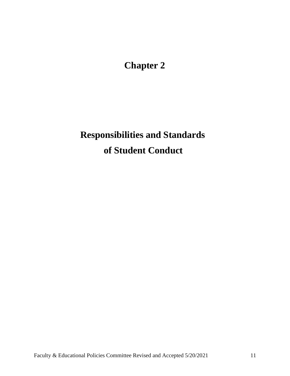**Chapter 2** 

**Responsibilities and Standards of Student Conduct**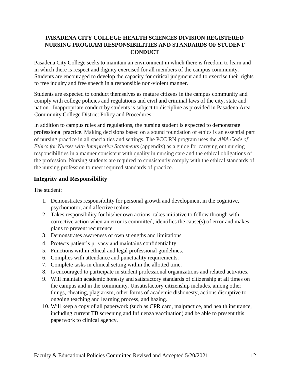# **PASADENA CITY COLLEGE HEALTH SCIENCES DIVISION REGISTERED NURSING PROGRAM RESPONSIBILITIES AND STANDARDS OF STUDENT CONDUCT**

Pasadena City College seeks to maintain an environment in which there is freedom to learn and in which there is respect and dignity exercised for all members of the campus community. Students are encouraged to develop the capacity for critical judgment and to exercise their rights to free inquiry and free speech in a responsible non-violent manner.

Students are expected to conduct themselves as mature citizens in the campus community and comply with college policies and regulations and civil and criminal laws of the city, state and nation. Inappropriate conduct by students is subject to discipline as provided in Pasadena Area Community College District Policy and Procedures.

In addition to campus rules and regulations, the nursing student is expected to demonstrate professional practice. Making decisions based on a sound foundation of ethics is an essential part of nursing practice in all specialties and settings. The PCC RN program uses the *ANA Code of Ethics for Nurses with Interpretive Statements* (appendix) as a guide for carrying out nursing responsibilities in a manner consistent with quality in nursing care and the ethical obligations of the profession. Nursing students are required to consistently comply with the ethical standards of the nursing profession to meet required standards of practice.

# **Integrity and Responsibility**

The student:

- 1. Demonstrates responsibility for personal growth and development in the cognitive, psychomotor, and affective realms.
- 2. Takes responsibility for his/her own actions, takes initiative to follow through with corrective action when an error is committed, identifies the cause(s) of error and makes plans to prevent recurrence.
- 3. Demonstrates awareness of own strengths and limitations.
- 4. Protects patient's privacy and maintains confidentiality.
- 5. Functions within ethical and legal professional guidelines.
- 6. Complies with attendance and punctuality requirements.
- 7. Complete tasks in clinical setting within the allotted time.
- 8. Is encouraged to participate in student professional organizations and related activities.
- 9. Will maintain academic honesty and satisfactory standards of citizenship at all times on the campus and in the community. Unsatisfactory citizenship includes, among other things, cheating, plagiarism, other forms of academic dishonesty, actions disruptive to ongoing teaching and learning process, and hazing.
- 10. Will keep a copy of all paperwork (such as CPR card, malpractice, and health insurance, including current TB screening and Influenza vaccination) and be able to present this paperwork to clinical agency.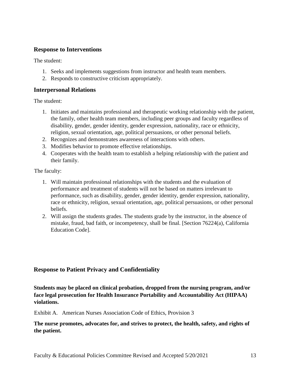#### **Response to Interventions**

The student:

- 1. Seeks and implements suggestions from instructor and health team members.
- 2. Responds to constructive criticism appropriately.

# **Interpersonal Relations**

The student:

- 1. Initiates and maintains professional and therapeutic working relationship with the patient, the family, other health team members, including peer groups and faculty regardless of disability, gender, gender identity, gender expression, nationality, race or ethnicity, religion, sexual orientation, age, political persuasions, or other personal beliefs.
- 2. Recognizes and demonstrates awareness of interactions with others.
- 3. Modifies behavior to promote effective relationships.
- 4. Cooperates with the health team to establish a helping relationship with the patient and their family.

The faculty:

- 1. Will maintain professional relationships with the students and the evaluation of performance and treatment of students will not be based on matters irrelevant to performance, such as disability, gender, gender identity, gender expression, nationality, race or ethnicity, religion, sexual orientation, age, political persuasions, or other personal beliefs.
- 2. Will assign the students grades. The students grade by the instructor, in the absence of mistake, fraud, bad faith, or incompetency, shall be final. [Section 76224(a), California Education Code].

# **Response to Patient Privacy and Confidentiality**

**Students may be placed on clinical probation, dropped from the nursing program, and/or face legal prosecution for Health Insurance Portability and Accountability Act (HIPAA) violations.** 

Exhibit A. American Nurses Association Code of Ethics, Provision 3

# **The nurse promotes, advocates for, and strives to protect, the health, safety, and rights of the patient.**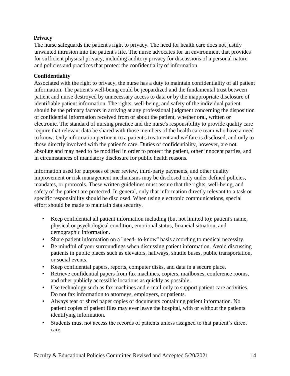# **Privacy**

The nurse safeguards the patient's right to privacy. The need for health care does not justify unwanted intrusion into the patient's life. The nurse advocates for an environment that provides for sufficient physical privacy, including auditory privacy for discussions of a personal nature and policies and practices that protect the confidentiality of information

#### **Confidentiality**

Associated with the right to privacy, the nurse has a duty to maintain confidentiality of all patient information. The patient's well-being could be jeopardized and the fundamental trust between patient and nurse destroyed by unnecessary access to data or by the inappropriate disclosure of identifiable patient information. The rights, well-being, and safety of the individual patient should be the primary factors in arriving at any professional judgment concerning the disposition of confidential information received from or about the patient, whether oral, written or electronic. The standard of nursing practice and the nurse's responsibility to provide quality care require that relevant data be shared with those members of the health care team who have a need to know. Only information pertinent to a patient's treatment and welfare is disclosed, and only to those directly involved with the patient's care. Duties of confidentiality, however, are not absolute and may need to be modified in order to protect the patient, other innocent parties, and in circumstances of mandatory disclosure for public health reasons.

Information used for purposes of peer review, third-party payments, and other quality improvement or risk management mechanisms may be disclosed only under defined policies, mandates, or protocols. These written guidelines must assure that the rights, well-being, and safety of the patient are protected. In general, only that information directly relevant to a task or specific responsibility should be disclosed. When using electronic communications, special effort should be made to maintain data security.

- Keep confidential all patient information including (but not limited to): patient's name, physical or psychological condition, emotional status, financial situation, and demographic information.
- Share patient information on a "need- to-know" basis according to medical necessity.
- Be mindful of your surroundings when discussing patient information. Avoid discussing patients in public places such as elevators, hallways, shuttle buses, public transportation, or social events.
- Keep confidential papers, reports, computer disks, and data in a secure place.
- Retrieve confidential papers from fax machines, copiers, mailboxes, conference rooms, and other publicly accessible locations as quickly as possible.
- Use technology such as fax machines and e-mail only to support patient care activities. Do not fax information to attorneys, employers, or patients.
- Always tear or shred paper copies of documents containing patient information. No patient copies of patient files may ever leave the hospital, with or without the patients identifying information.
- Students must not access the records of patients unless assigned to that patient's direct care.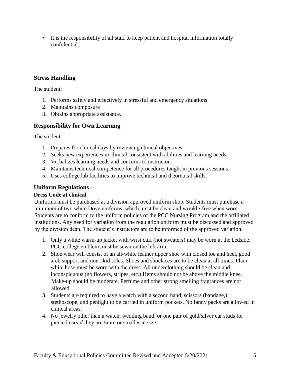• It is the responsibility of all staff to keep patient and hospital information totally confidential.

# **Stress Handling**

The student:

- 1. Performs safely and effectively in stressful and emergency situations
- 2. Maintains composure
- 3. Obtains appropriate assistance.

# **Responsibility for Own Learning**

The student:

- 1. Prepares for clinical days by reviewing clinical objectives.
- 2. Seeks new experiences in clinical consistent with abilities and learning needs.
- 3. Verbalizes learning needs and concerns to instructor.
- 4. Maintains technical competence for all procedures taught in previous sessions.
- 5. Uses college lab facilities to improve technical and theoretical skills.

# **Uniform Regulations –**

# **Dress Code at clinical**

Uniforms must be purchased at a division approved uniform shop. Students must purchase a minimum of two white Dove uniforms, which must be clean and wrinkle-free when worn. Students are to conform to the uniform policies of the PCC Nursing Program and the affiliated institutions. Any need for variation from the regulation uniform must be discussed and approved by the division dean. The student's instructors are to be informed of the approved variation.

- 1. Only a white warm-up jacket with wrist cuff (not sweaters) may be worn at the bedside. PCC college emblem must be sewn on the left arm.
- 2. Shoe wear will consist of an all-white leather upper shoe with closed toe and heel, good arch support and non-skid soles. Shoes and shoelaces are to be clean at all times. Plain white hose must be worn with the dress. All underclothing should be clean and inconspicuous (no flowers, stripes, etc.) Hems should not be above the middle knee. Make-up should be moderate. Perfume and other strong smelling fragrances are not allowed.
- 3. Students are required to have a watch with a second hand, scissors (bandage,) stethoscope, and penlight to be carried in uniform pockets. No fanny packs are allowed in clinical areas.
- 4. No jewelry other than a watch, wedding band, or one pair of gold/silver ear studs for pierced ears if they are 5mm or smaller in size.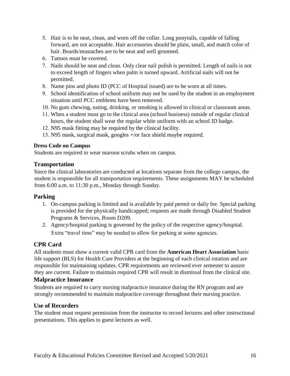- 5. Hair is to be neat, clean, and worn off the collar. Long ponytails, capable of falling forward, are not acceptable. Hair accessories should be plain, small, and match color of hair. Beards/mustaches are to be neat and well groomed.
- 6. Tattoos must be covered.
- 7. Nails should be neat and clean. Only clear nail polish is permitted. Length of nails is not to exceed length of fingers when palm is turned upward. Artificial nails will not be permitted.
- 8. Name pins and photo ID (PCC of Hospital issued) are to be worn at all times.
- 9. School identification of school uniform may not be used by the student in an employment situation until PCC emblems have been removed.
- 10. No gum chewing, eating, drinking, or smoking is allowed in clinical or classroom areas.
- 11. When a student must go to the clinical area (school business) outside of regular clinical hours, the student shall wear the regular white uniform with an school ID badge.
- 12. N95 mask fitting may be required by the clinical facility.
- 13. N95 mask, surgical mask, googles +/or face shield maybe required.

# **Dress Code on Campus**

Students are required to wear maroon scrubs when on campus.

# **Transportation**

Since the clinical laboratories are conducted at locations separate from the college campus, the student is responsible for all transportation requirements. These assignments MAY be scheduled from 6:00 a.m. to 11:30 p.m., Monday through Sunday.

# **Parking**

- 1. On-campus parking is limited and is available by paid permit or daily fee. Special parking is provided for the physically handicapped; requests are made through Disabled Student Programs & Services, Room D209.
- 2. Agency/hospital parking is governed by the policy of the respective agency/hospital. Extra "travel time" may be needed to allow for parking at some agencies.

# **CPR Card**

All students must show a current valid CPR card from the **American Heart Association** basic life support (BLS) for Health Care Providers at the beginning of each clinical rotation and are responsible for maintaining updates. CPR requirements are reviewed ever semester to assure they are current. Failure to maintain required CPR will result in dismissal from the clinical site.

# **Malpractice Insurance**

Students are required to carry nursing malpractice insurance during the RN program and are strongly recommended to maintain malpractice coverage throughout their nursing practice.

# **Use of Recorders**

The student must request permission from the instructor to record lectures and other instructional presentations. This applies to guest lectures as well.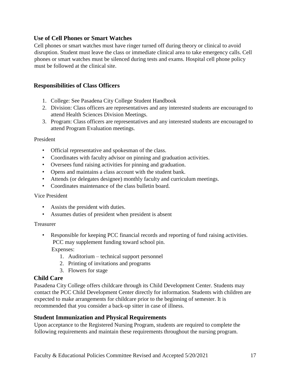# **Use of Cell Phones or Smart Watches**

Cell phones or smart watches must have ringer turned off during theory or clinical to avoid disruption. Student must leave the class or immediate clinical area to take emergency calls. Cell phones or smart watches must be silenced during tests and exams. Hospital cell phone policy must be followed at the clinical site.

# **Responsibilities of Class Officers**

- 1. College: See Pasadena City College Student Handbook
- 2. Division: Class officers are representatives and any interested students are encouraged to attend Health Sciences Division Meetings.
- 3. Program: Class officers are representatives and any interested students are encouraged to attend Program Evaluation meetings.

#### President

- Official representative and spokesman of the class.
- Coordinates with faculty advisor on pinning and graduation activities.
- Oversees fund raising activities for pinning and graduation.
- Opens and maintains a class account with the student bank.
- Attends (or delegates designee) monthly faculty and curriculum meetings.
- Coordinates maintenance of the class bulletin board.

#### Vice President

- Assists the president with duties.
- Assumes duties of president when president is absent

#### Treasurer

- Responsible for keeping PCC financial records and reporting of fund raising activities. PCC may supplement funding toward school pin. Expenses:
	- 1. Auditorium technical support personnel
	- 2. Printing of invitations and programs
	- 3. Flowers for stage

# **Child Care**

Pasadena City College offers childcare through its Child Development Center. Students may contact the PCC Child Development Center directly for information. Students with children are expected to make arrangements for childcare prior to the beginning of semester. It is recommended that you consider a back-up sitter in case of illness.

# **Student Immunization and Physical Requirements**

Upon acceptance to the Registered Nursing Program, students are required to complete the following requirements and maintain these requirements throughout the nursing program.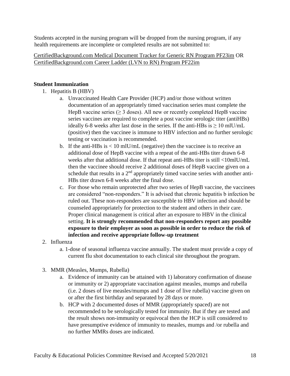Students accepted in the nursing program will be dropped from the nursing program, if any health requirements are incomplete or completed results are not submitted to:

#### CertifiedBackground.com Medical Document Tracker for Generic RN Program PF23im OR CertifiedBackground.com Career Ladder (LVN to RN) Program PF22im

#### **Student Immunization**

- 1. Hepatitis B (HBV)
	- a. Unvaccinated Health Care Provider (HCP) and/or those without written documentation of an appropriately timed vaccination series must complete the HepB vaccine series ( $\geq$  3 doses). All new or recently completed HepB vaccine series vaccines are required to complete a post vaccine serologic titer (antiHBs) ideally 6-8 weeks after last dose in the series. If the anti-HBs is  $\geq 10$  mlU/mL (positive) then the vaccinee is immune to HBV infection and no further serologic testing or vaccination is recommended.
	- b. If the anti-HBs is  $< 10$  mlU/mL (negative) then the vaccines is to receive an additional dose of HepB vaccine with a repeat of the anti-HBs titer drawn 6-8 weeks after that additional dose. If that repeat anti-HBs titer is still <10mlU/mL then the vaccinee should receive 2 additional doses of HepB vaccine given on a schedule that results in a  $2<sup>nd</sup>$  appropriately timed vaccine series with another anti-HBs titer drawn 6-8 weeks after the final dose.
	- c. For those who remain unprotected after two series of HepB vaccine, the vaccinees are considered "non-responders." It is advised that chronic hepatitis b infection be ruled out. These non-responders are susceptible to HBV infection and should be counseled appropriately for protection to the student and others in their care. Proper clinical management is critical after an exposure to HBV in the clinical setting. **It is strongly recommended that non-responders report any possible exposure to their employer as soon as possible in order to reduce the risk of infection and receive appropriate follow-up treatment**

#### 2. Influenza

- a. 1-dose of seasonal influenza vaccine annually. The student must provide a copy of current flu shot documentation to each clinical site throughout the program.
- 3. MMR (Measles, Mumps, Rubella)
	- a. Evidence of immunity can be attained with 1) laboratory confirmation of disease or immunity or 2) appropriate vaccination against measles, mumps and rubella (i.e. 2 doses of live measles/mumps and 1 dose of live rubella) vaccine given on or after the first birthday and separated by 28 days or more.
	- b. HCP with 2 documented doses of MMR (appropriately spaced) are not recommended to be serologically tested for immunity. But if they are tested and the result shows non-immunity or equivocal then the HCP is still considered to have presumptive evidence of immunity to measles, mumps and /or rubella and no further MMRs doses are indicated.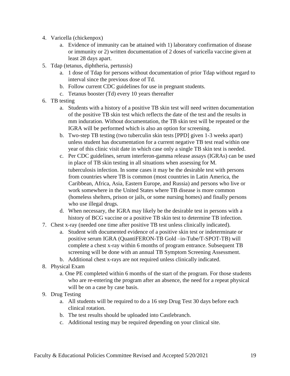- 4. Varicella (chickenpox)
	- a. Evidence of immunity can be attained with 1) laboratory confirmation of disease or immunity or 2) written documentation of 2 doses of varicella vaccine given at least 28 days apart.
- 5. Tdap (tetanus, diphtheria, pertussis)
	- a. 1 dose of Tdap for persons without documentation of prior Tdap without regard to interval since the previous dose of Td.
	- b. Follow current CDC guidelines for use in pregnant students.
	- c. Tetanus booster (Td) every 10 years thereafter
- 6. TB testing
	- a. Students with a history of a positive TB skin test will need written documentation of the positive TB skin test which reflects the date of the test and the results in mm induration. Without documentation, the TB skin test will be repeated or the IGRA will be performed which is also an option for screening.
	- b. Two-step TB testing (two tuberculin skin tests [PPD] given 1-3 weeks apart) unless student has documentation for a current negative TB test read within one year of this clinic visit date in which case only a single TB skin test is needed.
	- c. Per CDC guidelines, serum interferon-gamma release assays (IGRAs) can be used in place of TB skin testing in all situations when assessing for M. tuberculosis infection. In some cases it may be the desirable test with persons from countries where TB is common (most countries in Latin America, the Caribbean, Africa, Asia, Eastern Europe, and Russia) and persons who live or work somewhere in the United States where TB disease is more common (homeless shelters, prison or jails, or some nursing homes) and finally persons who use illegal drugs.
	- d. When necessary, the IGRA may likely be the desirable test in persons with a history of BCG vaccine or a positive TB skin test to determine TB infection.
- 7. Chest x-ray (needed one time after positive TB test unless clinically indicated).
	- a. Student with documented evidence of a positive skin test or indeterminate or positive serum IGRA (QuantiFERON-TB Gold –in-Tube/T-SPOT-TB) will complete a chest x-ray within 6 months of program entrance. Subsequent TB screening will be done with an annual TB Symptom Screening Assessment.
	- b. Additional chest x-rays are not required unless clinically indicated.
- 8. Physical Exam
	- a. One PE completed within 6 months of the start of the program. For those students who are re-entering the program after an absence, the need for a repeat physical will be on a case by case basis.
- 9. Drug Testing
	- a. All students will be required to do a 16 step Drug Test 30 days before each clinical rotation.
	- b. The test results should be uploaded into Castlebranch.
	- c. Additional testing may be required depending on your clinical site.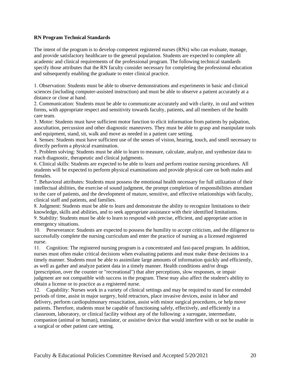#### **RN Program Technical Standards**

The intent of the program is to develop competent registered nurses (RNs) who can evaluate, manage, and provide satisfactory healthcare to the general population. Students are expected to complete all academic and clinical requirements of the professional program. The following technical standards specify those attributes that the RN faculty consider necessary for completing the professional education and subsequently enabling the graduate to enter clinical practice.

1. Observation: Students must be able to observe demonstrations and experiments in basic and clinical sciences (including computer-assisted instruction) and must be able to observe a patient accurately at a distance or close at hand.

2. Communication: Students must be able to communicate accurately and with clarity, in oral and written forms, with appropriate respect and sensitivity towards faculty, patients, and all members of the health care team.

3. Motor: Students must have sufficient motor function to elicit information from patients by palpation, auscultation, percussion and other diagnostic maneuvers. They must be able to grasp and manipulate tools and equipment, stand, sit, walk and move as needed in a patient care setting.

4. Senses: Students must have sufficient use of the senses of vision, hearing, touch, and smell necessary to directly perform a physical examination.

5. Problem solving: Students must be able to learn to measure, calculate, analyze, and synthesize data to reach diagnostic, therapeutic and clinical judgments.

6. Clinical skills: Students are expected to be able to learn and perform routine nursing procedures. All students will be expected to perform physical examinations and provide physical care on both males and females.

7. Behavioral attributes: Students must possess the emotional health necessary for full utilization of their intellectual abilities, the exercise of sound judgment, the prompt completion of responsibilities attendant to the care of patients, and the development of mature, sensitive, and effective relationships with faculty, clinical staff and patients, and families.

8. Judgment: Students must be able to learn and demonstrate the ability to recognize limitations to their knowledge, skills and abilities, and to seek appropriate assistance with their identified limitations. 9. Stability: Students must be able to learn to respond with precise, efficient, and appropriate action in

emergency situations.

10. Perseverance: Students are expected to possess the humility to accept criticism, and the diligence to successfully complete the nursing curriculum and enter the practice of nursing as a licensed registered nurse.

11. Cognition: The registered nursing program is a concentrated and fast-paced program. In addition, nurses must often make critical decisions when evaluating patients and must make these decisions in a timely manner. Students must be able to assimilate large amounts of information quickly and efficiently, as well as gather and analyze patient data in a timely manner. Health conditions and/or drugs (prescription, over the counter or "recreational") that alter perceptions, slow responses, or impair judgment are not compatible with success in the program. These may also affect the student's ability to obtain a license or to practice as a registered nurse.

12. Capability: Nurses work in a variety of clinical settings and may be required to stand for extended periods of time, assist in major surgery, hold retractors, place invasive devices, assist in labor and delivery, perform cardiopulmonary resuscitation, assist with minor surgical procedures, or help move patients. Therefore, students must be capable of functioning safely, effectively, and efficiently in a classroom, laboratory, or clinical facility without any of the following: a surrogate, intermediate, companion (animal or human), translator, or assistive device that would interfere with or not be usable in a surgical or other patient care setting.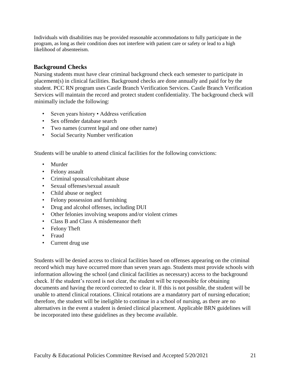Individuals with disabilities may be provided reasonable accommodations to fully participate in the program, as long as their condition does not interfere with patient care or safety or lead to a high likelihood of absenteeism.

# **Background Checks**

Nursing students must have clear criminal background check each semester to participate in placement(s) in clinical facilities. Background checks are done annually and paid for by the student. PCC RN program uses Castle Branch Verification Services. Castle Branch Verification Services will maintain the record and protect student confidentiality. The background check will minimally include the following:

- Seven years history Address verification
- Sex offender database search
- Two names (current legal and one other name)
- Social Security Number verification

Students will be unable to attend clinical facilities for the following convictions:

- Murder
- Felony assault
- Criminal spousal/cohabitant abuse
- Sexual offenses/sexual assault
- Child abuse or neglect
- Felony possession and furnishing
- Drug and alcohol offenses, including DUI
- Other felonies involving weapons and/or violent crimes
- Class B and Class A misdemeanor theft
- Felony Theft
- Fraud
- Current drug use

Students will be denied access to clinical facilities based on offenses appearing on the criminal record which may have occurred more than seven years ago. Students must provide schools with information allowing the school (and clinical facilities as necessary) access to the background check. If the student's record is not clear, the student will be responsible for obtaining documents and having the record corrected to clear it. If this is not possible, the student will be unable to attend clinical rotations. Clinical rotations are a mandatory part of nursing education; therefore, the student will be ineligible to continue in a school of nursing, as there are no alternatives in the event a student is denied clinical placement. Applicable BRN guidelines will be incorporated into these guidelines as they become available.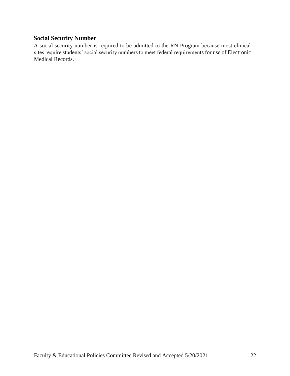# **Social Security Number**

A social security number is required to be admitted to the RN Program because most clinical sites require students' social security numbers to meet federal requirements for use of Electronic Medical Records.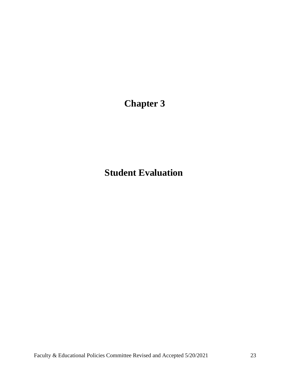# **Chapter 3**

# **Student Evaluation**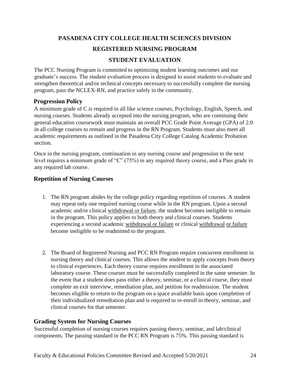# **PASADENA CITY COLLEGE HEALTH SCIENCES DIVISION REGISTERED NURSING PROGRAM STUDENT EVALUATION**

The PCC Nursing Program is committed to optimizing student learning outcomes and our graduate's success. The student evaluation process is designed to assist students to evaluate and strengthen theoretical and/or technical concepts necessary to successfully complete the nursing program, pass the NCLEX-RN, and practice safely in the community.

# **Progression Policy**

A minimum grade of C is required in all like science courses, Psychology, English, Speech, and nursing courses. Students already accepted into the nursing program, who are continuing their general education coursework must maintain an overall PCC Grade Point Average (GPA) of 2.0 in all college courses to remain and progress in the RN Program. Students must also meet all academic requirements as outlined in the Pasadena City College Catalog Academic Probation section.

Once in the nursing program, continuation in any nursing course and progression to the next level requires a minimum grade of "C" (75%) in any required theory course, and a Pass grade in any required lab course.

# **Repetition of Nursing Courses**

- 1. The RN program abides by the college policy regarding repetition of courses. A student may repeat only one required nursing course while in the RN program. Upon a second academic and/or clinical withdrawal or failure, the student becomes ineligible to remain in the program. This policy applies to both theory and clinical courses. Students experiencing a second academic withdrawal or failure or clinical withdrawal or failure become ineligible to be readmitted to the program.
- 2. The Board of Registered Nursing and PCC RN Program require concurrent enrollment in nursing theory and clinical courses. This allows the student to apply concepts from theory to clinical experiences. Each theory course requires enrollment in the associated laboratory course. These courses must be successfully completed in the same semester. In the event that a student does pass either a theory, seminar, or a clinical course, they must complete an exit interview, remediation plan, and petition for readmission. The student becomes eligible to return to the program on a space available basis upon completion of their individualized remediation plan and is required to re-enroll in theory, seminar, and clinical courses for that semester.

# **Grading System for Nursing Courses**

Successful completion of nursing courses requires passing theory, seminar, and lab/clinical components. The passing standard in the PCC RN Program is 75%. This passing standard is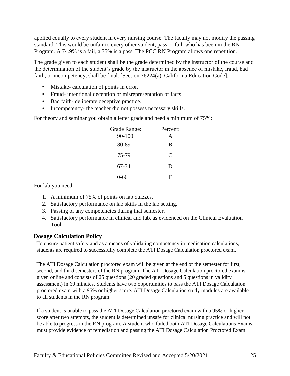applied equally to every student in every nursing course. The faculty may not modify the passing standard. This would be unfair to every other student, pass or fail, who has been in the RN Program. A 74.9% is a fail, a 75% is a pass. The PCC RN Program allows one repetition.

The grade given to each student shall be the grade determined by the instructor of the course and the determination of the student's grade by the instructor in the absence of mistake, fraud, bad faith, or incompetency, shall be final. [Section 76224(a), California Education Code].

- Mistake- calculation of points in error.
- Fraud- intentional deception or misrepresentation of facts.
- Bad faith- deliberate deceptive practice.
- Incompetency- the teacher did not possess necessary skills.

For theory and seminar you obtain a letter grade and need a minimum of 75%:

| Grade Range: | Percent:     |
|--------------|--------------|
| $90 - 100$   | $\mathsf{A}$ |
| 80-89        | B            |
| 75-79        | C            |
| 67-74        | D            |
| Ი-66         | F            |

For lab you need:

- 1. A minimum of 75% of points on lab quizzes.
- 2. Satisfactory performance on lab skills in the lab setting.
- 3. Passing of any competencies during that semester.
- 4. Satisfactory performance in clinical and lab, as evidenced on the Clinical Evaluation Tool.

#### **Dosage Calculation Policy**

To ensure patient safety and as a means of validating competency in medication calculations, students are required to successfully complete the ATI Dosage Calculation proctored exam.

The ATI Dosage Calculation proctored exam will be given at the end of the semester for first, second, and third semesters of the RN program. The ATI Dosage Calculation proctored exam is given online and consists of 25 questions (20 graded questions and 5 questions in validity assessment) in 60 minutes. Students have two opportunities to pass the ATI Dosage Calculation proctored exam with a 95% or higher score. ATI Dosage Calculation study modules are available to all students in the RN program.

If a student is unable to pass the ATI Dosage Calculation proctored exam with a 95% or higher score after two attempts, the student is determined unsafe for clinical nursing practice and will not be able to progress in the RN program. A student who failed both ATI Dosage Calculations Exams, must provide evidence of remediation and passing the ATI Dosage Calculation Proctored Exam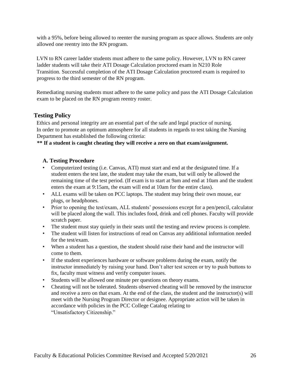with a 95%, before being allowed to reenter the nursing program as space allows. Students are only allowed one reentry into the RN program.

LVN to RN career ladder students must adhere to the same policy. However, LVN to RN career ladder students will take their ATI Dosage Calculation proctored exam in N210 Role Transition. Successful completion of the ATI Dosage Calculation proctored exam is required to progress to the third semester of the RN program.

Remediating nursing students must adhere to the same policy and pass the ATI Dosage Calculation exam to be placed on the RN program reentry roster.

# **Testing Policy**

Ethics and personal integrity are an essential part of the safe and legal practice of nursing. In order to promote an optimum atmosphere for all students in regards to test taking the Nursing Department has established the following criteria:

**\*\* If a student is caught cheating they will receive a zero on that exam/assignment.** 

#### **A. Testing Procedure**

- Computerized testing (i.e. Canvas, ATI) must start and end at the designated time. If a student enters the test late, the student may take the exam, but will only be allowed the remaining time of the test period. (If exam is to start at 9am and end at 10am and the student enters the exam at 9:15am, the exam will end at 10am for the entire class).
- ALL exams will be taken on PCC laptops. The student may bring their own mouse, ear plugs, or headphones.
- Prior to opening the test/exam, ALL students' possessions except for a pen/pencil, calculator will be placed along the wall. This includes food, drink and cell phones. Faculty will provide scratch paper.
- The student must stay quietly in their seats until the testing and review process is complete.
- The student will listen for instructions of read on Canvas any additional information needed for the test/exam.
- When a student has a question, the student should raise their hand and the instructor will come to them.
- If the student experiences hardware or software problems during the exam, notify the instructor immediately by raising your hand. Don't alter test screen or try to push buttons to fix, faculty must witness and verify computer issues.
- Students will be allowed one minute per questions on theory exams.
- Cheating will not be tolerated. Students observed cheating will be removed by the instructor and receive a zero on that exam. At the end of the class, the student and the instructor(s) will meet with the Nursing Program Director or designee. Appropriate action will be taken in accordance with policies in the PCC College Catalog relating to "Unsatisfactory Citizenship."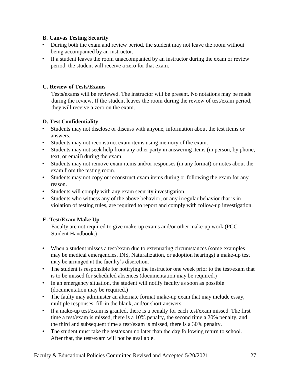### **B. Canvas Testing Security**

- During both the exam and review period, the student may not leave the room without being accompanied by an instructor.
- If a student leaves the room unaccompanied by an instructor during the exam or review period, the student will receive a zero for that exam.

# **C. Review of Tests/Exams**

Tests/exams will be reviewed. The instructor will be present. No notations may be made during the review. If the student leaves the room during the review of test/exam period, they will receive a zero on the exam.

# **D. Test Confidentiality**

- Students may not disclose or discuss with anyone, information about the test items or answers.
- Students may not reconstruct exam items using memory of the exam.
- Students may not seek help from any other party in answering items (in person, by phone, text, or email) during the exam.
- Students may not remove exam items and/or responses (in any format) or notes about the exam from the testing room.
- Students may not copy or reconstruct exam items during or following the exam for any reason.
- Students will comply with any exam security investigation.
- Students who witness any of the above behavior, or any irregular behavior that is in violation of testing rules, are required to report and comply with follow-up investigation.

# **E. Test/Exam Make Up**

Faculty are not required to give make-up exams and/or other make-up work (PCC Student Handbook.)

- When a student misses a test/exam due to extenuating circumstances (some examples may be medical emergencies, INS, Naturalization, or adoption hearings) a make-up test may be arranged at the faculty's discretion.
- The student is responsible for notifying the instructor one week prior to the test/exam that is to be missed for scheduled absences (documentation may be required.)
- In an emergency situation, the student will notify faculty as soon as possible (documentation may be required.)
- The faulty may administer an alternate format make-up exam that may include essay, multiple responses, fill-in the blank, and/or short answers.
- If a make-up test/exam is granted, there is a penalty for each test/exam missed. The first time a test/exam is missed, there is a 10% penalty, the second time a 20% penalty, and the third and subsequent time a test/exam is missed, there is a 30% penalty.
- The student must take the test/exam no later than the day following return to school. After that, the test/exam will not be available.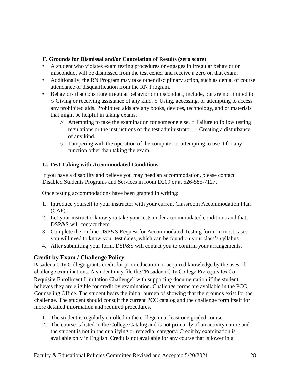# **F. Grounds for Dismissal and/or Cancelation of Results (zero score)**

- A student who violates exam testing procedures or engages in irregular behavior or misconduct will be dismissed from the test center and receive a zero on that exam.
- Additionally, the RN Program may take other disciplinary action, such as denial of course attendance or disqualification from the RN Program.
- Behaviors that constitute irregular behavior or misconduct, include, but are not limited to: o Giving or receiving assistance of any kind. o Using, accessing, or attempting to access any prohibited aids. Prohibited aids are any books, devices, technology, and or materials that might be helpful in taking exams.
	- o Attempting to take the examination for someone else. o Failure to follow testing regulations or the instructions of the test administrator. o Creating a disturbance of any kind.
	- o Tampering with the operation of the computer or attempting to use it for any function other than taking the exam.

# **G. Test Taking with Accommodated Conditions**

If you have a disability and believe you may need an accommodation, please contact Disabled Students Programs and Services in room D209 or at 626-585-7127.

Once testing accommodations have been granted in writing:

- 1. Introduce yourself to your instructor with your current Classroom Accommodation Plan (CAP).
- 2. Let your instructor know you take your tests under accommodated conditions and that DSP&S will contact them.
- 3. Complete the on-line DSP&S Request for Accommodated Testing form. In most cases you will need to know your test dates, which can be found on your class's syllabus.
- 4. After submitting your form, DSP&S will contact you to confirm your arrangements.

# **Credit by Exam / Challenge Policy**

Pasadena City College grants credit for prior education or acquired knowledge by the uses of challenge examinations. A student may file the "Pasadena City College Prerequisites Co-Requisite Enrollment Limitation Challenge" with supporting documentation if the student believes they are eligible for credit by examination. Challenge forms are available in the PCC Counseling Office. The student bears the initial burden of showing that the grounds exist for the challenge. The student should consult the current PCC catalog and the challenge form itself for more detailed information and required procedures.

- 1. The student is regularly enrolled in the college in at least one graded course.
- 2. The course is listed in the College Catalog and is not primarily of an activity nature and the student is not in the qualifying or remedial category. Credit by examination is available only in English. Credit is not available for any course that is lower in a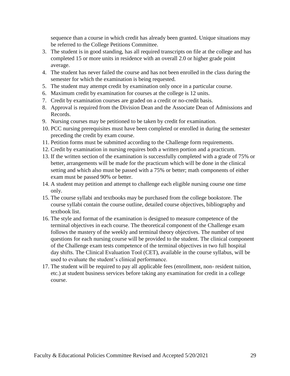sequence than a course in which credit has already been granted. Unique situations may be referred to the College Petitions Committee.

- 3. The student is in good standing, has all required transcripts on file at the college and has completed 15 or more units in residence with an overall 2.0 or higher grade point average.
- 4. The student has never failed the course and has not been enrolled in the class during the semester for which the examination is being requested.
- 5. The student may attempt credit by examination only once in a particular course.
- 6. Maximum credit by examination for courses at the college is 12 units.
- 7. Credit by examination courses are graded on a credit or no-credit basis.
- 8. Approval is required from the Division Dean and the Associate Dean of Admissions and Records.
- 9. Nursing courses may be petitioned to be taken by credit for examination.
- 10. PCC nursing prerequisites must have been completed or enrolled in during the semester preceding the credit by exam course.
- 11. Petition forms must be submitted according to the Challenge form requirements.
- 12. Credit by examination in nursing requires both a written portion and a practicum.
- 13. If the written section of the examination is successfully completed with a grade of 75% or better, arrangements will be made for the practicum which will be done in the clinical setting and which also must be passed with a 75% or better; math components of either exam must be passed 90% or better.
- 14. A student may petition and attempt to challenge each eligible nursing course one time only.
- 15. The course syllabi and textbooks may be purchased from the college bookstore. The course syllabi contain the course outline, detailed course objectives, bibliography and textbook list.
- 16. The style and format of the examination is designed to measure competence of the terminal objectives in each course. The theoretical component of the Challenge exam follows the mastery of the weekly and terminal theory objectives. The number of test questions for each nursing course will be provided to the student. The clinical component of the Challenge exam tests competence of the terminal objectives in two full hospital day shifts. The Clinical Evaluation Tool (CET), available in the course syllabus, will be used to evaluate the student's clinical performance.
- 17. The student will be required to pay all applicable fees (enrollment, non- resident tuition, etc.) at student business services before taking any examination for credit in a college course.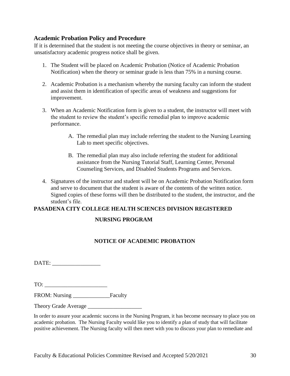# **Academic Probation Policy and Procedure**

If it is determined that the student is not meeting the course objectives in theory or seminar, an unsatisfactory academic progress notice shall be given.

- 1. The Student will be placed on Academic Probation (Notice of Academic Probation Notification) when the theory or seminar grade is less than 75% in a nursing course.
- 2. Academic Probation is a mechanism whereby the nursing faculty can inform the student and assist them in identification of specific areas of weakness and suggestions for improvement.
- 3. When an Academic Notification form is given to a student, the instructor will meet with the student to review the student's specific remedial plan to improve academic performance.
	- A. The remedial plan may include referring the student to the Nursing Learning Lab to meet specific objectives.
	- B. The remedial plan may also include referring the student for additional assistance from the Nursing Tutorial Staff, Learning Center, Personal Counseling Services, and Disabled Students Programs and Services.
- 4. Signatures of the instructor and student will be on Academic Probation Notification form and serve to document that the student is aware of the contents of the written notice. Signed copies of these forms will then be distributed to the student, the instructor, and the student's file.

#### **PASADENA CITY COLLEGE HEALTH SCIENCES DIVISION REGISTERED**

# **NURSING PROGRAM**

# **NOTICE OF ACADEMIC PROBATION**

| _<br>$\mathbf{A}$ |  |  |
|-------------------|--|--|
|-------------------|--|--|

| $\sqrt{ }$<br>$\overline{\phantom{a}}$ |
|----------------------------------------|
|----------------------------------------|

FROM: Nursing Faculty

Theory Grade Average

In order to assure your academic success in the Nursing Program, it has become necessary to place you on academic probation. The Nursing Faculty would like you to identify a plan of study that will facilitate positive achievement. The Nursing faculty will then meet with you to discuss your plan to remediate and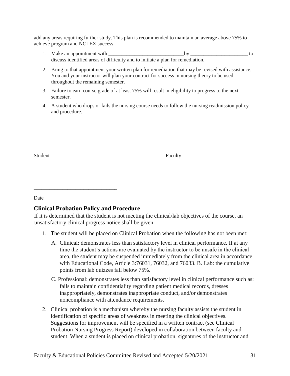add any areas requiring further study. This plan is recommended to maintain an average above 75% to achieve program and NCLEX success.

- 1. Make an appointment with \_\_\_\_\_\_\_\_\_\_\_\_\_\_\_\_\_\_\_\_\_\_\_\_\_\_\_\_\_by \_\_\_\_\_\_\_\_\_\_\_\_\_\_\_\_\_\_\_\_\_\_ to discuss identified areas of difficulty and to initiate a plan for remediation.
- 2. Bring to that appointment your written plan for remediation that may be revised with assistance. You and your instructor will plan your contract for success in nursing theory to be used throughout the remaining semester.
- 3. Failure to earn course grade of at least 75% will result in eligibility to progress to the next semester.
- 4. A student who drops or fails the nursing course needs to follow the nursing readmission policy and procedure.

\_\_\_\_\_\_\_\_\_\_\_\_\_\_\_\_\_\_\_\_\_\_\_\_\_\_\_\_\_\_\_\_\_\_\_\_\_\_ \_\_\_\_\_\_\_\_\_\_\_\_\_\_\_\_\_\_\_\_\_\_\_\_\_\_\_\_\_\_\_\_\_

Student Faculty

Date

#### **Clinical Probation Policy and Procedure**

\_\_\_\_\_\_\_\_\_\_\_\_\_\_\_\_\_\_\_\_\_\_\_\_\_\_\_\_\_\_\_\_

If it is determined that the student is not meeting the clinical/lab objectives of the course, an unsatisfactory clinical progress notice shall be given.

- 1. The student will be placed on Clinical Probation when the following has not been met:
	- A. Clinical: demonstrates less than satisfactory level in clinical performance. If at any time the student's actions are evaluated by the instructor to be unsafe in the clinical area, the student may be suspended immediately from the clinical area in accordance with Educational Code, Article 3:76031, 76032, and 76033. B. Lab: the cumulative points from lab quizzes fall below 75%.
	- C. Professional: demonstrates less than satisfactory level in clinical performance such as: fails to maintain confidentiality regarding patient medical records, dresses inappropriately, demonstrates inappropriate conduct, and/or demonstrates noncompliance with attendance requirements.
- 2. Clinical probation is a mechanism whereby the nursing faculty assists the student in identification of specific areas of weakness in meeting the clinical objectives. Suggestions for improvement will be specified in a written contract (see Clinical Probation Nursing Progress Report) developed in collaboration between faculty and student. When a student is placed on clinical probation, signatures of the instructor and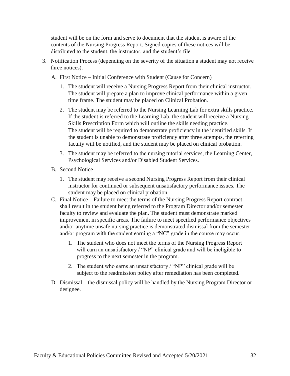student will be on the form and serve to document that the student is aware of the contents of the Nursing Progress Report. Signed copies of these notices will be distributed to the student, the instructor, and the student's file.

- 3. Notification Process (depending on the severity of the situation a student may not receive three notices).
	- A. First Notice Initial Conference with Student (Cause for Concern)
		- 1. The student will receive a Nursing Progress Report from their clinical instructor. The student will prepare a plan to improve clinical performance within a given time frame. The student may be placed on Clinical Probation.
		- 2. The student may be referred to the Nursing Learning Lab for extra skills practice. If the student is referred to the Learning Lab, the student will receive a Nursing Skills Prescription Form which will outline the skills needing practice. The student will be required to demonstrate proficiency in the identified skills. If the student is unable to demonstrate proficiency after three attempts, the referring faculty will be notified, and the student may be placed on clinical probation.
		- 3. The student may be referred to the nursing tutorial services, the Learning Center, Psychological Services and/or Disabled Student Services.
	- B. Second Notice
		- 1. The student may receive a second Nursing Progress Report from their clinical instructor for continued or subsequent unsatisfactory performance issues. The student may be placed on clinical probation.
	- C. Final Notice Failure to meet the terms of the Nursing Progress Report contract shall result in the student being referred to the Program Director and/or semester faculty to review and evaluate the plan. The student must demonstrate marked improvement in specific areas. The failure to meet specified performance objectives and/or anytime unsafe nursing practice is demonstrated dismissal from the semester and/or program with the student earning a "NC" grade in the course may occur.
		- 1. The student who does not meet the terms of the Nursing Progress Report will earn an unsatisfactory / "NP" clinical grade and will be ineligible to progress to the next semester in the program.
		- 2. The student who earns an unsatisfactory / "NP" clinical grade will be subject to the readmission policy after remediation has been completed.
	- D. Dismissal the dismissal policy will be handled by the Nursing Program Director or designee.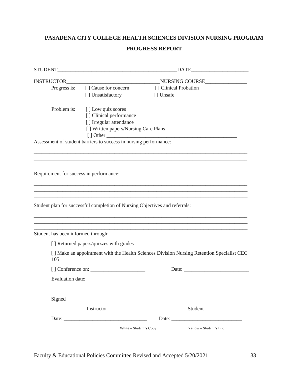# **PASADENA CITY COLLEGE HEALTH SCIENCES DIVISION NURSING PROGRAM PROGRESS REPORT**

|                                                                             |                                        |                        | DATE <b>DATE</b>                                                                          |
|-----------------------------------------------------------------------------|----------------------------------------|------------------------|-------------------------------------------------------------------------------------------|
| INSTRUCTOR______<br>NURSING COURSE                                          |                                        |                        |                                                                                           |
|                                                                             |                                        |                        | Progress is: [] Cause for concern [] Clinical Probation                                   |
|                                                                             | [] Unsatisfactory                      |                        | [] Unsafe                                                                                 |
| Problem is:                                                                 | [] Low quiz scores                     |                        |                                                                                           |
|                                                                             | [] Clinical performance                |                        |                                                                                           |
|                                                                             | [] Irregular attendance                |                        |                                                                                           |
|                                                                             | [] Written papers/Nursing Care Plans   |                        |                                                                                           |
| Assessment of student barriers to success in nursing performance:           |                                        |                        |                                                                                           |
|                                                                             |                                        |                        |                                                                                           |
| Requirement for success in performance:                                     |                                        |                        |                                                                                           |
|                                                                             |                                        |                        | ,我们也不能在这里的人,我们也不能在这里的人,我们也不能在这里的人,我们也不能在这里的人,我们也不能在这里的人,我们也不能在这里的人,我们也不能在这里的人,我们          |
| Student plan for successful completion of Nursing Objectives and referrals: |                                        |                        |                                                                                           |
| Student has been informed through:                                          |                                        |                        |                                                                                           |
|                                                                             |                                        |                        |                                                                                           |
| 105                                                                         | [] Returned papers/quizzes with grades |                        | [] Make an appointment with the Health Sciences Division Nursing Retention Specialist CEC |
|                                                                             | $[ ]$ Conference on:                   |                        |                                                                                           |
| Evaluation date:                                                            |                                        |                        |                                                                                           |
|                                                                             |                                        |                        | the control of the control of the control of the control of the control of                |
|                                                                             | Instructor                             |                        | Student                                                                                   |
|                                                                             |                                        |                        |                                                                                           |
|                                                                             |                                        | White – Student's Copy | Yellow - Student's File                                                                   |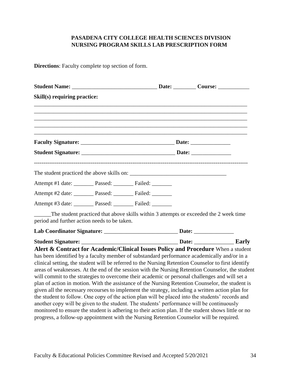# **PASADENA CITY COLLEGE HEALTH SCIENCES DIVISION NURSING PROGRAM SKILLS LAB PRESCRIPTION FORM**

**Directions**: Faculty complete top section of form.

| Skill(s) requiring practice:                                                              |  |  |                                                                                                                                                                                                    |  |
|-------------------------------------------------------------------------------------------|--|--|----------------------------------------------------------------------------------------------------------------------------------------------------------------------------------------------------|--|
|                                                                                           |  |  |                                                                                                                                                                                                    |  |
|                                                                                           |  |  |                                                                                                                                                                                                    |  |
|                                                                                           |  |  |                                                                                                                                                                                                    |  |
|                                                                                           |  |  |                                                                                                                                                                                                    |  |
|                                                                                           |  |  |                                                                                                                                                                                                    |  |
|                                                                                           |  |  |                                                                                                                                                                                                    |  |
| Attempt #1 date: _________ Passed: _________ Failed: ________                             |  |  |                                                                                                                                                                                                    |  |
| Attempt #2 date: __________ Passed: _________ Failed: ________                            |  |  |                                                                                                                                                                                                    |  |
| Attempt #3 date: ________ Passed: ________ Failed: _______                                |  |  |                                                                                                                                                                                                    |  |
| period and further action needs to be taken.                                              |  |  | The student practiced that above skills within 3 attempts or exceeded the 2 week time                                                                                                              |  |
|                                                                                           |  |  |                                                                                                                                                                                                    |  |
|                                                                                           |  |  | Student Signature: Early Date: Early                                                                                                                                                               |  |
|                                                                                           |  |  | Alert & Contract for Academic/Clinical Issues Policy and Procedure When a student                                                                                                                  |  |
|                                                                                           |  |  | has been identified by a faculty member of substandard performance academically and/or in a                                                                                                        |  |
|                                                                                           |  |  | clinical setting, the student will be referred to the Nursing Retention Counselor to first identify                                                                                                |  |
|                                                                                           |  |  | areas of weaknesses. At the end of the session with the Nursing Retention Counselor, the student<br>will commit to the strategies to overcome their academic or personal challenges and will set a |  |
|                                                                                           |  |  | plan of action in motion. With the assistance of the Nursing Retention Counselor, the student is                                                                                                   |  |
|                                                                                           |  |  | given all the necessary recourses to implement the strategy, including a written action plan for                                                                                                   |  |
|                                                                                           |  |  | the student to follow. One copy of the action plan will be placed into the students' records and                                                                                                   |  |
| another copy will be given to the student. The students' performance will be continuously |  |  |                                                                                                                                                                                                    |  |
|                                                                                           |  |  | monitored to ensure the student is adhering to their action plan. If the student shows little or no                                                                                                |  |
| progress, a follow-up appointment with the Nursing Retention Counselor will be required.  |  |  |                                                                                                                                                                                                    |  |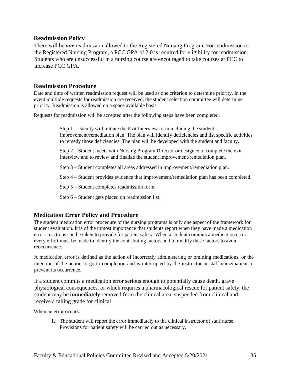#### **Readmission Policy**

There will be *one* readmission allowed to the Registered Nursing Program. For readmission to the Registered Nursing Program, a PCC GPA of 2.0 is required for eligibility for readmission. Students who are unsuccessful in a nursing course are encouraged to take courses at PCC to increase PCC GPA.

### **Readmission Procedure**

Date and time of written readmission request will be used as one criterion to determine priority. In the event multiple requests for readmission are received, the student selection committee will determine priority. Readmission is allowed on a space available basis.

Requests for readmission will be accepted after the following steps have been completed.

Step 1 – Faculty will initiate the Exit Interview form including the student improvement/remediation plan. The plan will identify deficiencies and list specific activities to remedy those deficiencies. The plan will be developed with the student and faculty.

Step 2 – Student meets with Nursing Program Director or designee to complete the exit interview and to review and finalize the student improvement/remediation plan.

Step 3 – Student completes all areas addressed in improvement/remediation plan.

Step 4 – Student provides evidence that improvement/remediation plan has been completed.

Step 5 – Student completes readmission form.

Step 6 – Student gets placed on readmission list.

# **Medication Error Policy and Procedure**

The student medication error procedure of the nursing programs is only one aspect of the framework for student evaluation. It is of the utmost importance that students report when they have made a medication error so actions can be taken to provide for patient safety. When a student commits a medication error, every effort must be made to identify the contributing factors and to modify these factors to avoid reoccurrence.

A medication error is defined as the action of incorrectly administering or omitting medications, or the intention of the action to go to completion and is interrupted by the instructor or staff nurse/patient to prevent its occurrence.

If a student commits a medication error serious enough to potentially cause death, grave physiological consequences, or which requires a pharmacological rescue for patient safety, the student may be **immediately** removed from the clinical area, suspended from clinical and receive a failing grade for clinical

When an error occurs:

1. The student will report the error immediately to the clinical instructor of staff nurse. Provisions for patient safety will be carried out as necessary.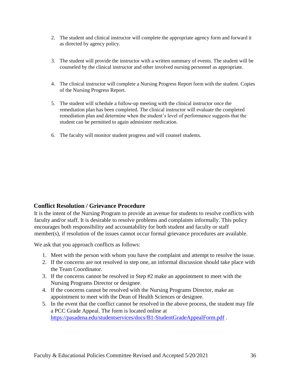- 2. The student and clinical instructor will complete the appropriate agency form and forward it as directed by agency policy.
- 3. The student will provide the instructor with a written summary of events. The student will be counseled by the clinical instructor and other involved nursing personnel as appropriate.
- 4. The clinical instructor will complete a Nursing Progress Report form with the student. Copies of the Nursing Progress Report.
- 5. The student will schedule a follow-up meeting with the clinical instructor once the remediation plan has been completed. The clinical instructor will evaluate the completed remediation plan and determine when the student's level of performance suggests that the student can be permitted to again administer medication.
- 6. The faculty will monitor student progress and will counsel students.

# **Conflict Resolution / Grievance Procedure**

It is the intent of the Nursing Program to provide an avenue for students to resolve conflicts with faculty and/or staff. It is desirable to resolve problems and complaints informally. This policy encourages both responsibility and accountability for both student and faculty or staff member(s), if resolution of the issues cannot occur formal grievance procedures are available.

We ask that you approach conflicts as follows:

- 1. Meet with the person with whom you have the complaint and attempt to resolve the issue.
- 2. If the concerns are not resolved in step one, an informal discussion should take place with the Team Coordinator.
- 3. If the concerns cannot be resolved in Step #2 make an appointment to meet with the Nursing Programs Director or designee.
- 4. If the concerns cannot be resolved with the Nursing Programs Director, make an appointment to meet with the Dean of Health Sciences or designee.
- 5. In the event that the conflict cannot be resolved in the above process, the student may file a PCC Grade Appeal. The form is located online at [https://pasadena.edu/studentservices/docs/B1-StudentGradeAppealForm.pdf](https://pasadena.edu/student-services/docs/B1-StudentGradeAppealForm.pdf) [.](https://pasadena.edu/student-services/docs/B1-StudentGradeAppealForm.pdf)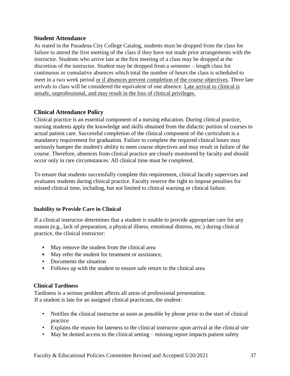#### **Student Attendance**

As stated in the Pasadena City College Catalog, students must be dropped from the class for failure to attend the first meeting of the class if they have not made prior arrangements with the instructor. Students who arrive late at the first meeting of a class may be dropped at the discretion of the instructor. Student may be dropped from a semester – length class for continuous or cumulative absences which total the number of hours the class is scheduled to meet in a two week period or if absences prevent completion of the course objectives. Three late arrivals to class will be considered the equivalent of one absence. Late arrival to clinical is unsafe, unprofessional, and may result in the loss of clinical privileges.

# **Clinical Attendance Policy**

Clinical practice is an essential component of a nursing education. During clinical practice, nursing students apply the knowledge and skills obtained from the didactic portion of courses to actual patient care. Successful completion of the clinical component of the curriculum is a mandatory requirement for graduation. Failure to complete the required clinical hours may seriously hamper the student's ability to meet course objectives and may result in failure of the course. Therefore, absences from clinical practice are closely monitored by faculty and should occur only in rare circumstances. All clinical time must be completed.

To ensure that students successfully complete this requirement, clinical faculty supervises and evaluates students during clinical practice. Faculty reserve the right to impose penalties for missed clinical time, including, but not limited to clinical warning or clinical failure.

# **Inability to Provide Care in Clinical**

If a clinical instructor determines that a student is unable to provide appropriate care for any reason (e.g., lack of preparation, a physical illness, emotional distress, etc.) during clinical practice, the clinical instructor:

- May remove the student from the clinical area
- May refer the student for treatment or assistance,
- Documents the situation
- Follows up with the student to ensure safe return to the clinical area

# **Clinical Tardiness**

Tardiness is a serious problem affects all areas of professional presentation. If a student is late for an assigned clinical practicum, the student:

- Notifies the clinical instructor as soon as possible by phone prior to the start of clinical practice
- Explains the reason for lateness to the clinical instructor upon arrival at the clinical site
- May be denied access to the clinical setting missing report impacts patient safety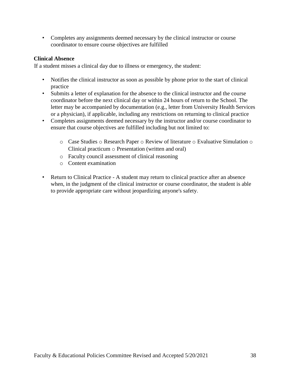• Completes any assignments deemed necessary by the clinical instructor or course coordinator to ensure course objectives are fulfilled

### **Clinical Absence**

If a student misses a clinical day due to illness or emergency, the student:

- Notifies the clinical instructor as soon as possible by phone prior to the start of clinical practice
- Submits a letter of explanation for the absence to the clinical instructor and the course coordinator before the next clinical day or within 24 hours of return to the School. The letter may be accompanied by documentation (e.g., letter from University Health Services or a physician), if applicable, including any restrictions on returning to clinical practice
- Completes assignments deemed necessary by the instructor and/or course coordinator to ensure that course objectives are fulfilled including but not limited to:
	- o Case Studies o Research Paper o Review of literature o Evaluative Simulation o Clinical practicum o Presentation (written and oral)
	- o Faculty council assessment of clinical reasoning
	- o Content examination
- Return to Clinical Practice A student may return to clinical practice after an absence when, in the judgment of the clinical instructor or course coordinator, the student is able to provide appropriate care without jeopardizing anyone's safety.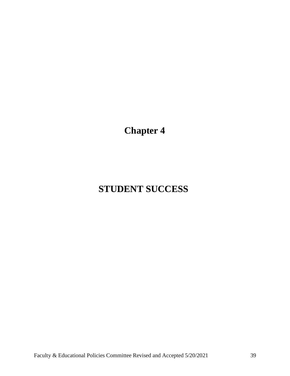**Chapter 4** 

# **STUDENT SUCCESS**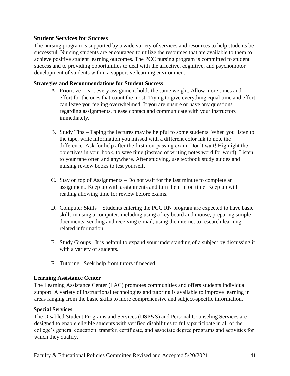# **Student Services for Success**

The nursing program is supported by a wide variety of services and resources to help students be successful. Nursing students are encouraged to utilize the resources that are available to them to achieve positive student learning outcomes. The PCC nursing program is committed to student success and to providing opportunities to deal with the affective, cognitive, and psychomotor development of students within a supportive learning environment.

#### **Strategies and Recommendations for Student Success**

- A. Prioritize Not every assignment holds the same weight. Allow more times and effort for the ones that count the most. Trying to give everything equal time and effort can leave you feeling overwhelmed. If you are unsure or have any questions regarding assignments, please contact and communicate with your instructors immediately.
- B. Study Tips Taping the lectures may be helpful to some students. When you listen to the tape, write information you missed with a different color ink to note the difference. Ask for help after the first non-passing exam. Don't wait! Highlight the objectives in your book, to save time (instead of writing notes word for word). Listen to your tape often and anywhere. After studying, use textbook study guides and nursing review books to test yourself.
- C. Stay on top of Assignments Do not wait for the last minute to complete an assignment. Keep up with assignments and turn them in on time. Keep up with reading allowing time for review before exams.
- D. Computer Skills Students entering the PCC RN program are expected to have basic skills in using a computer, including using a key board and mouse, preparing simple documents, sending and receiving e-mail, using the internet to research learning related information.
- E. Study Groups –It is helpful to expand your understanding of a subject by discussing it with a variety of students.
- F. Tutoring –Seek help from tutors if needed.

#### **Learning Assistance Center**

The Learning Assistance Center (LAC) promotes communities and offers students individual support. A variety of instructional technologies and tutoring is available to improve learning in areas ranging from the basic skills to more comprehensive and subject-specific information.

#### **Special Services**

The Disabled Student Programs and Services (DSP&S) and Personal Counseling Services are designed to enable eligible students with verified disabilities to fully participate in all of the college's general education, transfer, certificate, and associate degree programs and activities for which they qualify.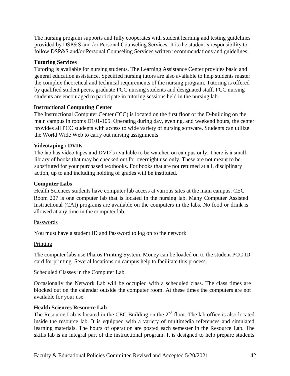The nursing program supports and fully cooperates with student learning and testing guidelines provided by DSP&S and /or Personal Counseling Services. It is the student's responsibility to follow DSP&S and/or Personal Counseling Services written recommendations and guidelines.

### **Tutoring Services**

Tutoring is available for nursing students. The Learning Assistance Center provides basic and general education assistance. Specified nursing tutors are also available to help students master the complex theoretical and technical requirements of the nursing program. Tutoring is offered by qualified student peers, graduate PCC nursing students and designated staff. PCC nursing students are encouraged to participate in tutoring sessions held in the nursing lab.

# **Instructional Computing Center**

The Instructional Computer Center (ICC) is located on the first floor of the D-building on the main campus in rooms D101-105. Operating during day, evening, and weekend hours, the center provides all PCC students with access to wide variety of nursing software. Students can utilize the World Wide Web to carry out nursing assignments

# **Videotaping / DVDs**

The lab has video tapes and DVD's available to be watched on campus only. There is a small library of books that may be checked out for overnight use only. These are not meant to be substituted for your purchased textbooks. For books that are not returned at all, disciplinary action, up to and including holding of grades will be instituted.

#### **Computer Labs**

Health Sciences students have computer lab access at various sites at the main campus. CEC Room 207 is one computer lab that is located in the nursing lab. Many Computer Assisted Instructional (CAI) programs are available on the computers in the labs. No food or drink is allowed at any time in the computer lab.

#### Passwords

You must have a student ID and Password to log on to the network

#### Printing

The computer labs use Pharos Printing System. Money can be loaded on to the student PCC ID card for printing. Several locations on campus help to facilitate this process.

#### Scheduled Classes in the Computer Lab

Occasionally the Network Lab will be occupied with a scheduled class. The class times are blocked out on the calendar outside the computer room. At these times the computers are not available for your use.

#### **Health Sciences Resource Lab**

The Resource Lab is located in the CEC Building on the  $2<sup>nd</sup>$  floor. The lab office is also located inside the resource lab. It is equipped with a variety of multimedia references and simulated learning materials. The hours of operation are posted each semester in the Resource Lab. The skills lab is an integral part of the instructional program. It is designed to help prepare students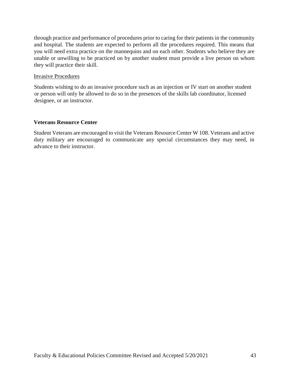through practice and performance of procedures prior to caring for their patients in the community and hospital. The students are expected to perform all the procedures required. This means that you will need extra practice on the mannequins and on each other. Students who believe they are unable or unwilling to be practiced on by another student must provide a live person on whom they will practice their skill.

#### Invasive Procedures

Students wishing to do an invasive procedure such as an injection or IV start on another student or person will only be allowed to do so in the presences of the skills lab coordinator, licensed designee, or an instructor.

#### **Veterans Resource Center**

Student Veterans are encouraged to visit the Veterans Resource Center W 108. Veterans and active duty military are encouraged to communicate any special circumstances they may need, in advance to their instructor.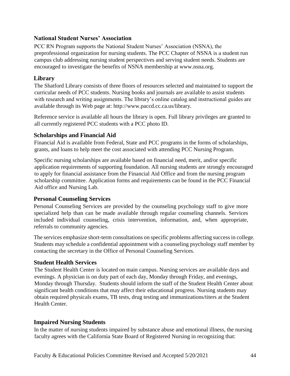# **National Student Nurses' Association**

PCC RN Program supports the National Student Nurses' Association (NSNA), the preprofessional organization for nursing students. The PCC Chapter of NSNA is a student run campus club addressing nursing student perspectives and serving student needs. Students are encouraged to investigate the benefits of NSNA membership at www.nsna.org.

# **Library**

The Shatford Library consists of three floors of resources selected and maintained to support the curricular needs of PCC students. Nursing books and journals are available to assist students with research and writing assignments. The library's online catalog and instructional guides are available through its Web page at: http://www.paccd.cc.ca.us/library.

Reference service is available all hours the library is open. Full library privileges are granted to all currently registered PCC students with a PCC photo ID.

# **Scholarships and Financial Aid**

Financial Aid is available from Federal, State and PCC programs in the forms of scholarships, grants, and loans to help meet the cost associated with attending PCC Nursing Program.

Specific nursing scholarships are available based on financial need, merit, and/or specific application requirements of supporting foundation. All nursing students are strongly encouraged to apply for financial assistance from the Financial Aid Office and from the nursing program scholarship committee. Application forms and requirements can be found in the PCC Financial Aid office and Nursing Lab.

# **Personal Counseling Services**

Personal Counseling Services are provided by the counseling psychology staff to give more specialized help than can be made available through regular counseling channels. Services included individual counseling, crisis intervention, information, and, when appropriate, referrals to community agencies.

The services emphasize short-term consultations on specific problems affecting success in college. Students may schedule a confidential appointment with a counseling psychology staff member by contacting the secretary in the Office of Personal Counseling Services.

#### **Student Health Services**

The Student Health Center is located on main campus. Nursing services are available days and evenings. A physician is on duty part of each day, Monday through Friday, and evenings, Monday through Thursday. Students should inform the staff of the Student Health Center about significant health conditions that may affect their educational progress. Nursing students may obtain required physicals exams, TB tests, drug testing and immunizations/titers at the Student Health Center.

# **Impaired Nursing Students**

In the matter of nursing students impaired by substance abuse and emotional illness, the nursing faculty agrees with the California State Board of Registered Nursing in recognizing that: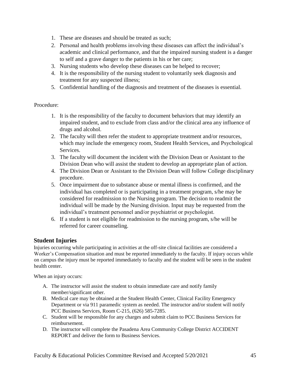- 1. These are diseases and should be treated as such;
- 2. Personal and health problems involving these diseases can affect the individual's academic and clinical performance, and that the impaired nursing student is a danger to self and a grave danger to the patients in his or her care;
- 3. Nursing students who develop these diseases can be helped to recover;
- 4. It is the responsibility of the nursing student to voluntarily seek diagnosis and treatment for any suspected illness;
- 5. Confidential handling of the diagnosis and treatment of the diseases is essential.

#### Procedure:

- 1. It is the responsibility of the faculty to document behaviors that may identify an impaired student, and to exclude from class and/or the clinical area any influence of drugs and alcohol.
- 2. The faculty will then refer the student to appropriate treatment and/or resources, which may include the emergency room, Student Health Services, and Psychological Services.
- 3. The faculty will document the incident with the Division Dean or Assistant to the Division Dean who will assist the student to develop an appropriate plan of action.
- 4. The Division Dean or Assistant to the Division Dean will follow College disciplinary procedure.
- 5. Once impairment due to substance abuse or mental illness is confirmed, and the individual has completed or is participating in a treatment program, s/he may be considered for readmission to the Nursing program. The decision to readmit the individual will be made by the Nursing division. Input may be requested from the individual's treatment personnel and/or psychiatrist or psychologist.
- 6. If a student is not eligible for readmission to the nursing program, s/he will be referred for career counseling.

# **Student Injuries**

Injuries occurring while participating in activities at the off-site clinical facilities are considered a Worker's Compensation situation and must be reported immediately to the faculty. If injury occurs while on campus the injury must be reported immediately to faculty and the student will be seen in the student health center.

When an injury occurs:

- A. The instructor will assist the student to obtain immediate care and notify family member/significant other.
- B. Medical care may be obtained at the Student Health Center, Clinical Facility Emergency Department or via 911 paramedic system as needed. The instructor and/or student will notify PCC Business Services, Room C-215, (626) 585-7285.
- C. Student will be responsible for any charges and submit claim to PCC Business Services for reimbursement.
- D. The instructor will complete the Pasadena Area Community College District ACCIDENT REPORT and deliver the form to Business Services.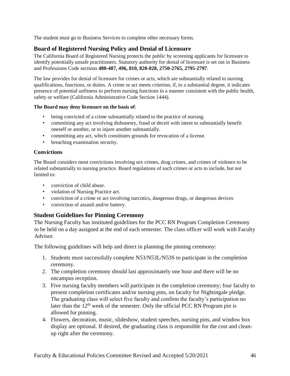The student must go to Business Services to complete other necessary forms.

# **Board of Registered Nursing Policy and Denial of Licensure**

The California Board of Registered Nursing protects the public by screening applicants for licensure to identify potentially unsafe practitioners. Statutory authority for denial of licensure is set out in Business and Professions Code sections **480-487, 496, 810, 820-828, 2750-2765, 2795-2797**.

The law provides for denial of licensure for crimes or acts, which are substantially related to nursing qualifications, functions, or duties. A crime or act meets criterion, if, to a substantial degree, it indicates presence of potential unfitness to perform nursing functions in a manner consistent with the public health, safety or welfare (California Administrative Code Section 1444).

#### **The Board may deny licensure on the basis of**:

- being convicted of a crime substantially related to the practice of nursing.
- committing any act involving dishonesty, fraud or deceit with intent to substantially benefit oneself or another, or to injure another substantially.
- committing any act, which constitutes grounds for revocation of a license.
- breaching examination security.

#### **Convictions**

The Board considers most convictions involving sex crimes, drug crimes, and crimes of violence to be related substantially to nursing practice. Board regulations of such crimes or acts to include, but not limited to:

- conviction of child abuse.
- violation of Nursing Practice act.
- conviction of a crime or act involving narcotics, dangerous drugs, or dangerous devices
- conviction of assault and/or battery.

# **Student Guidelines for Pinning Ceremony**

The Nursing Faculty has instituted guidelines for the PCC RN Program Completion Ceremony to be held on a day assigned at the end of each semester. The class officer will work with Faculty Advisor.

The following guidelines will help and direct in planning the pinning ceremony:

- 1. Students must successfully complete N53/N53L/N53S to participate in the completion ceremony.
- 2. The completion ceremony should last approximately one hour and there will be no oncampus reception.
- 3. Five nursing faculty members will participate in the completion ceremony; four faculty to present completion certificates and/or nursing pins, on faculty for Nightingale pledge. The graduating class will select five faculty and confirm the faculty's participation no later than the  $12<sup>th</sup>$  week of the semester. Only the official PCC RN Program pin is allowed for pinning.
- 4. Flowers, decoration, music, slideshow, student speeches, nursing pins, and window box display are optional. If desired, the graduating class is responsible for the cost and cleanup right after the ceremony.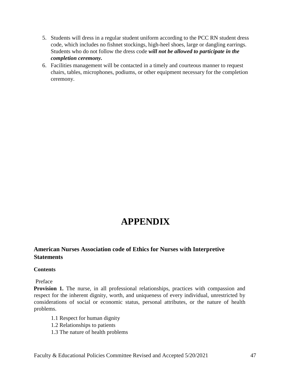- 5. Students will dress in a regular student uniform according to the PCC RN student dress code, which includes no fishnet stockings, high-heel shoes, large or dangling earrings. Students who do not follow the dress code *will not be allowed to participate in the completion ceremony.*
- 6. Facilities management will be contacted in a timely and courteous manner to request chairs, tables, microphones, podiums, or other equipment necessary for the completion ceremony.

# **APPENDIX**

# **American Nurses Association code of Ethics for Nurses with Interpretive Statements**

#### **Contents**

#### Preface

**Provision 1.** The nurse, in all professional relationships, practices with compassion and respect for the inherent dignity, worth, and uniqueness of every individual, unrestricted by considerations of social or economic status, personal attributes, or the nature of health problems.

- 1.1 Respect for human dignity
- 1.2 Relationships to patients
- 1.3 The nature of health problems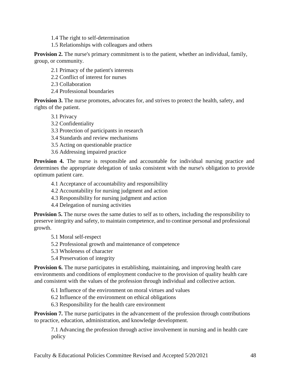- 1.4 The right to self-determination
- 1.5 Relationships with colleagues and others

**Provision 2.** The nurse's primary commitment is to the patient, whether an individual, family, group, or community.

- 2.1 Primacy of the patient's interests
- 2.2 Conflict of interest for nurses
- 2.3 Collaboration
- 2.4 Professional boundaries

**Provision 3.** The nurse promotes, advocates for, and strives to protect the health, safety, and rights of the patient.

- 3.1 Privacy
- 3.2 Confidentiality
- 3.3 Protection of participants in research
- 3.4 Standards and review mechanisms
- 3.5 Acting on questionable practice
- 3.6 Addressing impaired practice

**Provision 4.** The nurse is responsible and accountable for individual nursing practice and determines the appropriate delegation of tasks consistent with the nurse's obligation to provide optimum patient care.

- 4.1 Acceptance of accountability and responsibility
- 4.2 Accountability for nursing judgment and action
- 4.3 Responsibility for nursing judgment and action
- 4.4 Delegation of nursing activities

**Provision 5.** The nurse owes the same duties to self as to others, including the responsibility to preserve integrity and safety, to maintain competence, and to continue personal and professional growth.

- 5.1 Moral self-respect
- 5.2 Professional growth and maintenance of competence
- 5.3 Wholeness of character
- 5.4 Preservation of integrity

**Provision 6.** The nurse participates in establishing, maintaining, and improving health care environments and conditions of employment conducive to the provision of quality health care and consistent with the values of the profession through individual and collective action.

- 6.1 Influence of the environment on moral virtues and values
- 6.2 Influence of the environment on ethical obligations
- 6.3 Responsibility for the health care environment

**Provision 7.** The nurse participates in the advancement of the profession through contributions to practice, education, administration, and knowledge development.

7.1 Advancing the profession through active involvement in nursing and in health care policy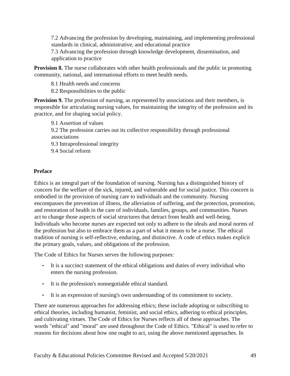7.2 Advancing the profession by developing, maintaining, and implementing professional standards in clinical, administrative, and educational practice

7.3 Advancing the profession through knowledge development, dissemination, and application to practice

**Provision 8.** The nurse collaborates with other health professionals and the public in promoting community, national, and international efforts to meet health needs.

8.1 Health needs and concerns

8.2 Responsibilities to the public

**Provision 9.** The profession of nursing, as represented by associations and their members, is responsible for articulating nursing values, for maintaining the integrity of the profession and its practice, and for shaping social policy.

9.1 Assertion of values 9.2 The profession carries out its collective responsibility through professional associations

9.3 Intraprofessional integrity

9.4 Social reform

# **Preface**

Ethics is an integral part of the foundation of nursing. Nursing has a distinguished history of concern for the welfare of the sick, injured, and vulnerable and for social justice. This concern is embodied in the provision of nursing care to individuals and the community. Nursing encompasses the prevention of illness, the alleviation of suffering, and the protection, promotion, and restoration of health in the care of individuals, families, groups, and communities. Nurses act to change those aspects of social structures that detract from health and well-being. Individuals who become nurses are expected not only to adhere to the ideals and moral norms of the profession but also to embrace them as a part of what it means to be a nurse. The ethical tradition of nursing is self-reflective, enduring, and distinctive. A code of ethics makes explicit the primary goals, values, and obligations of the profession.

The Code of Ethics for Nurses serves the following purposes:

- It is a succinct statement of the ethical obligations and duties of every individual who enters the nursing profession.
- It is the profession's nonnegotiable ethical standard.
- It is an expression of nursing's own understanding of its commitment to society.

There are numerous approaches for addressing ethics; these include adopting or subscribing to ethical theories, including humanist, feminist, and social ethics, adhering to ethical principles, and cultivating virtues. The Code of Ethics for Nurses reflects all of these approaches. The words "ethical" and "moral" are used throughout the Code of Ethics. "Ethical" is used to refer to reasons for decisions about how one ought to act, using the above mentioned approaches. In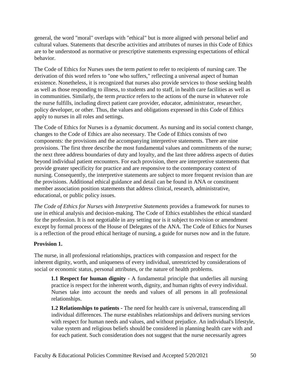general, the word "moral" overlaps with "ethical" but is more aligned with personal belief and cultural values. Statements that describe activities and attributes of nurses in this Code of Ethics are to be understood as normative or prescriptive statements expressing expectations of ethical behavior.

The Code of Ethics for Nurses uses the term *patient* to refer to recipients of nursing care. The derivation of this word refers to "one who suffers," reflecting a universal aspect of human existence. Nonetheless, it is recognized that nurses also provide services to those seeking health as well as those responding to illness, to students and to staff, in health care facilities as well as in communities. Similarly, the term *practice* refers to the actions of the nurse in whatever role the nurse fulfills, including direct patient care provider, educator, administrator, researcher, policy developer, or other. Thus, the values and obligations expressed in this Code of Ethics apply to nurses in all roles and settings.

The Code of Ethics for Nurses is a dynamic document. As nursing and its social context change, changes to the Code of Ethics are also necessary. The Code of Ethics consists of two components: the provisions and the accompanying interpretive statements. There are nine provisions. The first three describe the most fundamental values and commitments of the nurse; the next three address boundaries of duty and loyalty, and the last three address aspects of duties beyond individual patient encounters. For each provision, there are interpretive statements that provide greater specificity for practice and are responsive to the contemporary context of nursing. Consequently, the interpretive statements are subject to more frequent revision than are the provisions. Additional ethical guidance and detail can be found in ANA or constituent member association position statements that address clinical, research, administrative, educational, or public policy issues.

*The Code of Ethics for Nurses with Interpretive Statements* provides a framework for nurses to use in ethical analysis and decision-making. The Code of Ethics establishes the ethical standard for the profession. It is not negotiable in any setting nor is it subject to revision or amendment except by formal process of the House of Delegates of the ANA. The Code of Ethics for Nurses is a reflection of the proud ethical heritage of nursing, a guide for nurses now and in the future.

#### **Provision 1.**

The nurse, in all professional relationships, practices with compassion and respect for the inherent dignity, worth, and uniqueness of every individual, unrestricted by considerations of social or economic status, personal attributes, or the nature of health problems.

**1.1 Respect for human dignity -** A fundamental principle that underlies all nursing practice is respect for the inherent worth, dignity, and human rights of every individual. Nurses take into account the needs and values of all persons in all professional relationships.

**1.2 Relationships to patients -** The need for health care is universal, transcending all individual differences. The nurse establishes relationships and delivers nursing services with respect for human needs and values, and without prejudice. An individual's lifestyle, value system and religious beliefs should be considered in planning health care with and for each patient. Such consideration does not suggest that the nurse necessarily agrees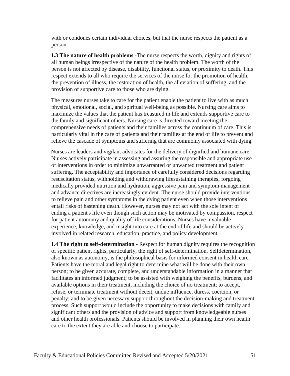with or condones certain individual choices, but that the nurse respects the patient as a person.

**1.3 The nature of health problems -**The nurse respects the worth, dignity and rights of all human beings irrespective of the nature of the health problem. The worth of the person is not affected by disease, disability, functional status, or proximity to death. This respect extends to all who require the services of the nurse for the promotion of health, the prevention of illness, the restoration of health, the alleviation of suffering, and the provision of supportive care to those who are dying.

The measures nurses take to care for the patient enable the patient to live with as much physical, emotional, social, and spiritual well-being as possible. Nursing care aims to maximize the values that the patient has treasured in life and extends supportive care to the family and significant others. Nursing care is directed toward meeting the comprehensive needs of patients and their families across the continuum of care. This is particularly vital in the care of patients and their families at the end of life to prevent and relieve the cascade of symptoms and suffering that are commonly associated with dying.

Nurses are leaders and vigilant advocates for the delivery of dignified and humane care. Nurses actively participate in assessing and assuring the responsible and appropriate use of interventions in order to minimize unwarranted or unwanted treatment and patient suffering. The acceptability and importance of carefully considered decisions regarding resuscitation status, withholding and withdrawing lifesustaining therapies, forgoing medically provided nutrition and hydration, aggressive pain and symptom management and advance directives are increasingly evident. The nurse should provide interventions to relieve pain and other symptoms in the dying patient even when those interventions entail risks of hastening death. However, nurses may not act with the sole intent of ending a patient's life even though such action may be motivated by compassion, respect for patient autonomy and quality of life considerations. Nurses have invaluable experience, knowledge, and insight into care at the end of life and should be actively involved in related research, education, practice, and policy development.

**1.4 The right to self-determination -** Respect for human dignity requires the recognition of specific patient rights, particularly, the right of self-determination. Selfdetermination, also known as autonomy, is the philosophical basis for informed consent in health care. Patients have the moral and legal right to determine what will be done with their own person; to be given accurate, complete, and understandable information in a manner that facilitates an informed judgment; to be assisted with weighing the benefits, burdens, and available options in their treatment, including the choice of no treatment; to accept, refuse, or terminate treatment without deceit, undue influence, duress, coercion, or penalty; and to be given necessary support throughout the decision-making and treatment process. Such support would include the opportunity to make decisions with family and significant others and the provision of advice and support from knowledgeable nurses and other health professionals. Patients should be involved in planning their own health care to the extent they are able and choose to participate.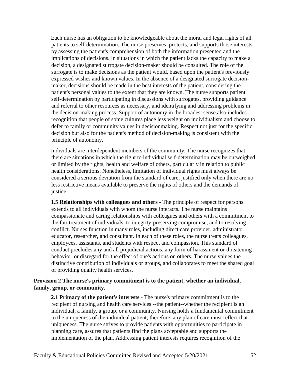Each nurse has an obligation to be knowledgeable about the moral and legal rights of all patients to self-determination. The nurse preserves, protects, and supports those interests by assessing the patient's comprehension of both the information presented and the implications of decisions. In situations in which the patient lacks the capacity to make a decision, a designated surrogate decision-maker should be consulted. The role of the surrogate is to make decisions as the patient would, based upon the patient's previously expressed wishes and known values. In the absence of a designated surrogate decisionmaker, decisions should be made in the best interests of the patient, considering the patient's personal values to the extent that they are known. The nurse supports patient self-determination by participating in discussions with surrogates, providing guidance and referral to other resources as necessary, and identifying and addressing problems in the decision-making process. Support of autonomy in the broadest sense also includes recognition that people of some cultures place less weight on individualism and choose to defer to family or community values in decisionmaking. Respect not just for the specific decision but also for the patient's method of decision-making is consistent with the principle of autonomy.

Individuals are interdependent members of the community. The nurse recognizes that there are situations in which the right to individual self-determination may be outweighed or limited by the rights, health and welfare of others, particularly in relation to public health considerations. Nonetheless, limitation of individual rights must always be considered a serious deviation from the standard of care, justified only when there are no less restrictive means available to preserve the rights of others and the demands of justice.

**1.5 Relationships with colleagues and others -** The principle of respect for persons extends to all individuals with whom the nurse interacts. The nurse maintains compassionate and caring relationships with colleagues and others with a commitment to the fair treatment of individuals, to integrity-preserving compromise, and to resolving conflict. Nurses function in many roles, including direct care provider, administrator, educator, researcher, and consultant. In each of these roles, the nurse treats colleagues, employees, assistants, and students with respect and compassion. This standard of conduct precludes any and all prejudicial actions, any form of harassment or threatening behavior, or disregard for the effect of one's actions on others. The nurse values the distinctive contribution of individuals or groups, and collaborates to meet the shared goal of providing quality health services.

#### **Provision 2 The nurse's primary commitment is to the patient, whether an individual, family, group, or community.**

**2.1 Primacy of the patient's interests -** The nurse's primary commitment is to the recipient of nursing and health care services --the patient--whether the recipient is an individual, a family, a group, or a community. Nursing holds a fundamental commitment to the uniqueness of the individual patient; therefore, any plan of care must reflect that uniqueness. The nurse strives to provide patients with opportunities to participate in planning care, assures that patients find the plans acceptable and supports the implementation of the plan. Addressing patient interests requires recognition of the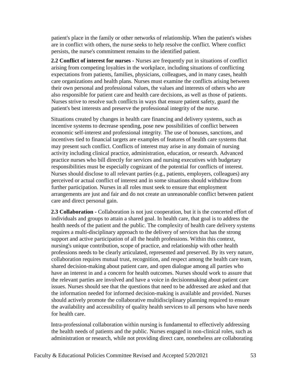patient's place in the family or other networks of relationship. When the patient's wishes are in conflict with others, the nurse seeks to help resolve the conflict. Where conflict persists, the nurse's commitment remains to the identified patient.

**2.2 Conflict of interest for nurses -** Nurses are frequently put in situations of conflict arising from competing loyalties in the workplace, including situations of conflicting expectations from patients, families, physicians, colleagues, and in many cases, health care organizations and health plans. Nurses must examine the conflicts arising between their own personal and professional values, the values and interests of others who are also responsible for patient care and health care decisions, as well as those of patients. Nurses strive to resolve such conflicts in ways that ensure patient safety, guard the patient's best interests and preserve the professional integrity of the nurse.

Situations created by changes in health care financing and delivery systems, such as incentive systems to decrease spending, pose new possibilities of conflict between economic self-interest and professional integrity. The use of bonuses, sanctions, and incentives tied to financial targets are examples of features of health care systems that may present such conflict. Conflicts of interest may arise in any domain of nursing activity including clinical practice, administration, education, or research. Advanced practice nurses who bill directly for services and nursing executives with budgetary responsibilities must be especially cognizant of the potential for conflicts of interest. Nurses should disclose to all relevant parties (e.g., patients, employers, colleagues) any perceived or actual conflict of interest and in some situations should withdraw from further participation. Nurses in all roles must seek to ensure that employment arrangements are just and fair and do not create an unreasonable conflict between patient care and direct personal gain.

**2.3 Collaboration -** Collaboration is not just cooperation, but it is the concerted effort of individuals and groups to attain a shared goal. In health care, that goal is to address the health needs of the patient and the public. The complexity of health care delivery systems requires a multi-disciplinary approach to the delivery of services that has the strong support and active participation of all the health professions. Within this context, nursing's unique contribution, scope of practice, and relationship with other health professions needs to be clearly articulated, represented and preserved. By its very nature, collaboration requires mutual trust, recognition, and respect among the health care team, shared decision-making about patient care, and open dialogue among all parties who have an interest in and a concern for health outcomes. Nurses should work to assure that the relevant parties are involved and have a voice in decisionmaking about patient care issues. Nurses should see that the questions that need to be addressed are asked and that the information needed for informed decision-making is available and provided. Nurses should actively promote the collaborative multidisciplinary planning required to ensure the availability and accessibility of quality health services to all persons who have needs for health care.

Intra-professional collaboration within nursing is fundamental to effectively addressing the health needs of patients and the public. Nurses engaged in non-clinical roles, such as administration or research, while not providing direct care, nonetheless are collaborating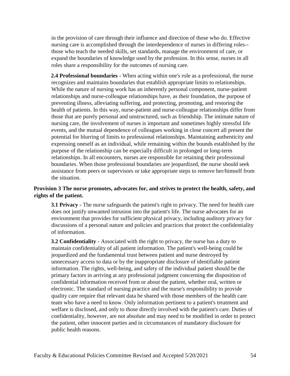in the provision of care through their influence and direction of those who do. Effective nursing care is accomplished through the interdependence of nurses in differing roles- those who teach the needed skills, set standards, manage the environment of care, or expand the boundaries of knowledge used by the profession. In this sense, nurses in all roles share a responsibility for the outcomes of nursing care.

**2.4 Professional boundaries -** When acting within one's role as a professional, the nurse recognizes and maintains boundaries that establish appropriate limits to relationships. While the nature of nursing work has an inherently personal component, nurse-patient relationships and nurse-colleague relationships have, as their foundation, the purpose of preventing illness, alleviating suffering, and protecting, promoting, and restoring the health of patients. In this way, nurse-patient and nurse-colleague relationships differ from those that are purely personal and unstructured, such as friendship. The intimate nature of nursing care, the involvement of nurses is important and sometimes highly stressful life events, and the mutual dependence of colleagues working in close concert all present the potential for blurring of limits to professional relationships. Maintaining authenticity and expressing oneself as an individual, while remaining within the bounds established by the purpose of the relationship can be especially difficult in prolonged or long-term relationships. In all encounters, nurses are responsible for retaining their professional boundaries. When those professional boundaries are jeopardized, the nurse should seek assistance from peers or supervisors or take appropriate steps to remove her/himself from the situation.

#### **Provision 3 The nurse promotes, advocates for, and strives to protect the health, safety, and rights of the patient.**

**3.1 Privacy -** The nurse safeguards the patient's right to privacy. The need for health care does not justify unwanted intrusion into the patient's life. The nurse advocates for an environment that provides for sufficient physical privacy, including auditory privacy for discussions of a personal nature and policies and practices that protect the confidentiality of information.

**3.2 Confidentiality -** Associated with the right to privacy, the nurse has a duty to maintain confidentiality of all patient information. The patient's well-being could be jeopardized and the fundamental trust between patient and nurse destroyed by unnecessary access to data or by the inappropriate disclosure of identifiable patient information. The rights, well-being, and safety of the individual patient should be the primary factors in arriving at any professional judgment concerning the disposition of confidential information received from or about the patient, whether oral, written or electronic. The standard of nursing practice and the nurse's responsibility to provide quality care require that relevant data be shared with those members of the health care team who have a need to know. Only information pertinent to a patient's treatment and welfare is disclosed, and only to those directly involved with the patient's care. Duties of confidentiality, however, are not absolute and may need to be modified in order to protect the patient, other innocent parties and in circumstances of mandatory disclosure for public health reasons.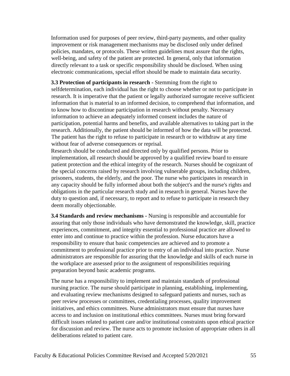Information used for purposes of peer review, third-party payments, and other quality improvement or risk management mechanisms may be disclosed only under defined policies, mandates, or protocols. These written guidelines must assure that the rights, well-being, and safety of the patient are protected. In general, only that information directly relevant to a task or specific responsibility should be disclosed. When using electronic communications, special effort should be made to maintain data security.

#### **3.3 Protection of participants in research -** Stemming from the right to

selfdetermination, each individual has the right to choose whether or not to participate in research. It is imperative that the patient or legally authorized surrogate receive sufficient information that is material to an informed decision, to comprehend that information, and to know how to discontinue participation in research without penalty. Necessary information to achieve an adequately informed consent includes the nature of participation, potential harms and benefits, and available alternatives to taking part in the research. Additionally, the patient should be informed of how the data will be protected. The patient has the right to refuse to participate in research or to withdraw at any time without fear of adverse consequences or reprisal.

Research should be conducted and directed only by qualified persons. Prior to implementation, all research should be approved by a qualified review board to ensure patient protection and the ethical integrity of the research. Nurses should be cognizant of the special concerns raised by research involving vulnerable groups, including children, prisoners, students, the elderly, and the poor. The nurse who participates in research in any capacity should be fully informed about both the subject's and the nurse's rights and obligations in the particular research study and in research in general. Nurses have the duty to question and, if necessary, to report and to refuse to participate in research they deem morally objectionable.

**3.4 Standards and review mechanisms -** Nursing is responsible and accountable for assuring that only those individuals who have demonstrated the knowledge, skill, practice experiences, commitment, and integrity essential to professional practice are allowed to enter into and continue to practice within the profession. Nurse educators have a responsibility to ensure that basic competencies are achieved and to promote a commitment to professional practice prior to entry of an individual into practice. Nurse administrators are responsible for assuring that the knowledge and skills of each nurse in the workplace are assessed prior to the assignment of responsibilities requiring preparation beyond basic academic programs.

The nurse has a responsibility to implement and maintain standards of professional nursing practice. The nurse should participate in planning, establishing, implementing, and evaluating review mechanisms designed to safeguard patients and nurses, such as peer review processes or committees, credentialing processes, quality improvement initiatives, and ethics committees. Nurse administrators must ensure that nurses have access to and inclusion on institutional ethics committees. Nurses must bring forward difficult issues related to patient care and/or institutional constraints upon ethical practice for discussion and review. The nurse acts to promote inclusion of appropriate others in all deliberations related to patient care.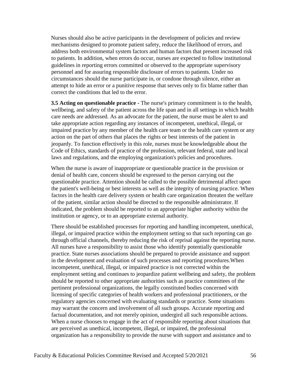Nurses should also be active participants in the development of policies and review mechanisms designed to promote patient safety, reduce the likelihood of errors, and address both environmental system factors and human factors that present increased risk to patients. In addition, when errors do occur, nurses are expected to follow institutional guidelines in reporting errors committed or observed to the appropriate supervisory personnel and for assuring responsible disclosure of errors to patients. Under no circumstances should the nurse participate in, or condone through silence, either an attempt to hide an error or a punitive response that serves only to fix blame rather than correct the conditions that led to the error.

**3.5 Acting on questionable practice -** The nurse's primary commitment is to the health, wellbeing, and safety of the patient across the life span and in all settings in which health care needs are addressed. As an advocate for the patient, the nurse must be alert to and take appropriate action regarding any instances of incompetent, unethical, illegal, or impaired practice by any member of the health care team or the health care system or any action on the part of others that places the rights or best interests of the patient in jeopardy. To function effectively in this role, nurses must be knowledgeable about the Code of Ethics, standards of practice of the profession, relevant federal, state and local laws and regulations, and the employing organization's policies and procedures.

When the nurse is aware of inappropriate or questionable practice in the provision or denial of health care, concern should be expressed to the person carrying out the questionable practice. Attention should be called to the possible detrimental affect upon the patient's well-being or best interests as well as the integrity of nursing practice. When factors in the health care delivery system or health care organization threaten the welfare of the patient, similar action should be directed to the responsible administrator. If indicated, the problem should be reported to an appropriate higher authority within the institution or agency, or to an appropriate external authority.

There should be established processes for reporting and handling incompetent, unethical, illegal, or impaired practice within the employment setting so that such reporting can go through official channels, thereby reducing the risk of reprisal against the reporting nurse. All nurses have a responsibility to assist those who identify potentially questionable practice. State nurses associations should be prepared to provide assistance and support in the development and evaluation of such processes and reporting procedures.When incompetent, unethical, illegal, or impaired practice is not corrected within the employment setting and continues to jeopardize patient wellbeing and safety, the problem should be reported to other appropriate authorities such as practice committees of the pertinent professional organizations, the legally constituted bodies concerned with licensing of specific categories of health workers and professional practitioners, or the regulatory agencies concerned with evaluating standards or practice. Some situations may warrant the concern and involvement of all such groups. Accurate reporting and factual documentation, and not merely opinion, undergird all such responsible actions. When a nurse chooses to engage in the act of responsible reporting about situations that are perceived as unethical, incompetent, illegal, or impaired, the professional organization has a responsibility to provide the nurse with support and assistance and to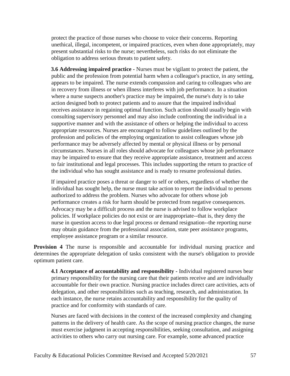protect the practice of those nurses who choose to voice their concerns. Reporting unethical, illegal, incompetent, or impaired practices, even when done appropriately, may present substantial risks to the nurse; nevertheless, such risks do not eliminate the obligation to address serious threats to patient safety.

**3.6 Addressing impaired practice -** Nurses must be vigilant to protect the patient, the public and the profession from potential harm when a colleague's practice, in any setting, appears to be impaired. The nurse extends compassion and caring to colleagues who are in recovery from illness or when illness interferes with job performance. In a situation where a nurse suspects another's practice may be impaired, the nurse's duty is to take action designed both to protect patients and to assure that the impaired individual receives assistance in regaining optimal function. Such action should usually begin with consulting supervisory personnel and may also include confronting the individual in a supportive manner and with the assistance of others or helping the individual to access appropriate resources. Nurses are encouraged to follow guidelines outlined by the profession and policies of the employing organization to assist colleagues whose job performance may be adversely affected by mental or physical illness or by personal circumstances. Nurses in all roles should advocate for colleagues whose job performance may be impaired to ensure that they receive appropriate assistance, treatment and access to fair institutional and legal processes. This includes supporting the return to practice of the individual who has sought assistance and is ready to resume professional duties.

If impaired practice poses a threat or danger to self or others, regardless of whether the individual has sought help, the nurse must take action to report the individual to persons authorized to address the problem. Nurses who advocate for others whose job performance creates a risk for harm should be protected from negative consequences. Advocacy may be a difficult process and the nurse is advised to follow workplace policies. If workplace policies do not exist or are inappropriate--that is, they deny the nurse in question access to due legal process or demand resignation--the reporting nurse may obtain guidance from the professional association, state peer assistance programs, employee assistance program or a similar resource.

**Provision 4** The nurse is responsible and accountable for individual nursing practice and determines the appropriate delegation of tasks consistent with the nurse's obligation to provide optimum patient care.

**4.1 Acceptance of accountability and responsibility -** Individual registered nurses bear primary responsibility for the nursing care that their patients receive and are individually accountable for their own practice. Nursing practice includes direct care activities, acts of delegation, and other responsibilities such as teaching, research, and administration. In each instance, the nurse retains accountability and responsibility for the quality of practice and for conformity with standards of care.

Nurses are faced with decisions in the context of the increased complexity and changing patterns in the delivery of health care. As the scope of nursing practice changes, the nurse must exercise judgment in accepting responsibilities, seeking consultation, and assigning activities to others who carry out nursing care. For example, some advanced practice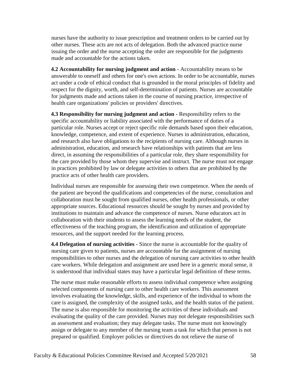nurses have the authority to issue prescription and treatment orders to be carried out by other nurses. These acts are not acts of delegation. Both the advanced practice nurse issuing the order and the nurse accepting the order are responsible for the judgments made and accountable for the actions taken.

**4.2 Accountability for nursing judgment and action -** Accountability means to be answerable to oneself and others for one's own actions. In order to be accountable, nurses act under a code of ethical conduct that is grounded in the moral principles of fidelity and respect for the dignity, worth, and self-determination of patients. Nurses are accountable for judgments made and actions taken in the course of nursing practice, irrespective of health care organizations' policies or providers' directives.

**4.3 Responsibility for nursing judgment and action -** Responsibility refers to the specific accountability or liability associated with the performance of duties of a particular role. Nurses accept or reject specific role demands based upon their education, knowledge, competence, and extent of experience. Nurses in administration, education, and research also have obligations to the recipients of nursing care. Although nurses in administration, education, and research have relationships with patients that are less direct, in assuming the responsibilities of a particular role, they share responsibility for the care provided by those whom they supervise and instruct. The nurse must not engage in practices prohibited by law or delegate activities to others that are prohibited by the practice acts of other health care providers.

Individual nurses are responsible for assessing their own competence. When the needs of the patient are beyond the qualifications and competencies of the nurse, consultation and collaboration must be sought from qualified nurses, other health professionals, or other appropriate sources. Educational resources should be sought by nurses and provided by institutions to maintain and advance the competence of nurses. Nurse educators act in collaboration with their students to assess the learning needs of the student, the effectiveness of the teaching program, the identification and utilization of appropriate resources, and the support needed for the learning process.

**4.4 Delegation of nursing activities -** Since the nurse is accountable for the quality of nursing care given to patients, nurses are accountable for the assignment of nursing responsibilities to other nurses and the delegation of nursing care activities to other health care workers. While delegation and assignment are used here in a generic moral sense, it is understood that individual states may have a particular legal definition of these terms.

The nurse must make reasonable efforts to assess individual competence when assigning selected components of nursing care to other health care workers. This assessment involves evaluating the knowledge, skills, and experience of the individual to whom the care is assigned, the complexity of the assigned tasks, and the health status of the patient. The nurse is also responsible for monitoring the activities of these individuals and evaluating the quality of the care provided. Nurses may not delegate responsibilities such as assessment and evaluation; they may delegate tasks. The nurse must not knowingly assign or delegate to any member of the nursing team a task for which that person is not prepared or qualified. Employer policies or directives do not relieve the nurse of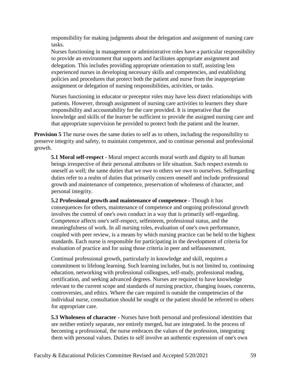responsibility for making judgments about the delegation and assignment of nursing care tasks.

Nurses functioning in management or administrative roles have a particular responsibility to provide an environment that supports and facilitates appropriate assignment and delegation. This includes providing appropriate orientation to staff, assisting less experienced nurses in developing necessary skills and competencies, and establishing policies and procedures that protect both the patient and nurse from the inappropriate assignment or delegation of nursing responsibilities, activities, or tasks.

Nurses functioning in educator or preceptor roles may have less direct relationships with patients. However, through assignment of nursing care activities to learners they share responsibility and accountability for the care provided. It is imperative that the knowledge and skills of the learner be sufficient to provide the assigned nursing care and that appropriate supervision be provided to protect both the patient and the learner.

**Provision 5** The nurse owes the same duties to self as to others, including the responsibility to preserve integrity and safety, to maintain competence, and to continue personal and professional growth.

**5.1 Moral self-respect -** Moral respect accords moral worth and dignity to all human beings irrespective of their personal attributes or life situation. Such respect extends to oneself as well; the same duties that we owe to others we owe to ourselves. Selfregarding duties refer to a realm of duties that primarily concern oneself and include professional growth and maintenance of competence, preservation of wholeness of character, and personal integrity.

**5.2 Professional growth and maintenance of competence -** Though it has consequences for others, maintenance of competence and ongoing professional growth involves the control of one's own conduct in a way that is primarily self-regarding. Competence affects one's self-respect, selfesteem, professional status, and the meaningfulness of work. In all nursing roles, evaluation of one's own performance, coupled with peer review, is a means by which nursing practice can be held to the highest standards. Each nurse is responsible for participating in the development of criteria for evaluation of practice and for using those criteria in peer and selfassessment.

Continual professional growth, particularly in knowledge and skill, requires a commitment to lifelong learning. Such learning includes, but is not limited to, continuing education, networking with professional colleagues, self-study, professional reading, certification, and seeking advanced degrees. Nurses are required to have knowledge relevant to the current scope and standards of nursing practice, changing issues, concerns, controversies, and ethics. Where the care required is outside the competencies of the individual nurse, consultation should be sought or the patient should be referred to others for appropriate care.

**5.3 Wholeness of character -** Nurses have both personal and professional identities that are neither entirely separate, nor entirely merged, but are integrated. In the process of becoming a professional, the nurse embraces the values of the profession, integrating them with personal values. Duties to self involve an authentic expression of one's own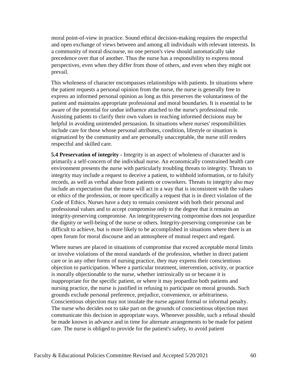moral point-of-view in practice. Sound ethical decision-making requires the respectful and open exchange of views between and among all individuals with relevant interests. In a community of moral discourse, no one person's view should automatically take precedence over that of another. Thus the nurse has a responsibility to express moral perspectives, even when they differ from those of others, and even when they might not prevail.

This wholeness of character encompasses relationships with patients. In situations where the patient requests a personal opinion from the nurse, the nurse is generally free to express an informed personal opinion as long as this preserves the voluntariness of the patient and maintains appropriate professional and moral boundaries. It is essential to be aware of the potential for undue influence attached to the nurse's professional role. Assisting patients to clarify their own values in reaching informed decisions may be helpful in avoiding unintended persuasion. In situations where nurses' responsibilities include care for those whose personal attributes, condition, lifestyle or situation is stigmatized by the community and are personally unacceptable, the nurse still renders respectful and skilled care.

**5.4 Preservation of integrity -** Integrity is an aspect of wholeness of character and is primarily a self-concern of the individual nurse. An economically constrained health care environment presents the nurse with particularly troubling threats to integrity. Threats to integrity may include a request to deceive a patient, to withhold information, or to falsify records, as well as verbal abuse from patients or coworkers. Threats to integrity also may include an expectation that the nurse will act in a way that is inconsistent with the values or ethics of the profession, or more specifically a request that is in direct violation of the Code of Ethics. Nurses have a duty to remain consistent with both their personal and professional values and to accept compromise only to the degree that it remains an integrity-preserving compromise. An integritypreserving compromise does not jeopardize the dignity or well-being of the nurse or others. Integrity-preserving compromise can be difficult to achieve, but is more likely to be accomplished in situations where there is an open forum for moral discourse and an atmosphere of mutual respect and regard.

Where nurses are placed in situations of compromise that exceed acceptable moral limits or involve violations of the moral standards of the profession, whether in direct patient care or in any other forms of nursing practice, they may express their conscientious objection to participation. Where a particular treatment, intervention, activity, or practice is morally objectionable to the nurse, whether intrinsically so or because it is inappropriate for the specific patient, or where it may jeopardize both patients and nursing practice, the nurse is justified in refusing to participate on moral grounds. Such grounds exclude personal preference, prejudice, convenience, or arbitrariness. Conscientious objection may not insulate the nurse against formal or informal penalty. The nurse who decides not to take part on the grounds of conscientious objection must communicate this decision in appropriate ways. Whenever possible, such a refusal should be made known in advance and in time for alternate arrangements to be made for patient care. The nurse is obliged to provide for the patient's safety, to avoid patient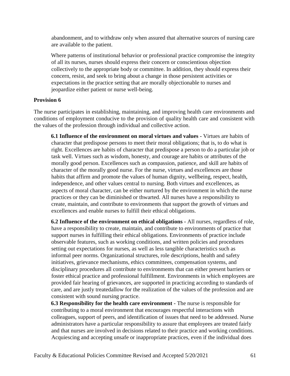abandonment, and to withdraw only when assured that alternative sources of nursing care are available to the patient.

Where patterns of institutional behavior or professional practice compromise the integrity of all its nurses, nurses should express their concern or conscientious objection collectively to the appropriate body or committee. In addition, they should express their concern, resist, and seek to bring about a change in those persistent activities or expectations in the practice setting that are morally objectionable to nurses and jeopardize either patient or nurse well-being.

#### **Provision 6**

The nurse participates in establishing, maintaining, and improving health care environments and conditions of employment conducive to the provision of quality health care and consistent with the values of the profession through individual and collective action.

**6.1 Influence of the environment on moral virtues and values -** Virtues are habits of character that predispose persons to meet their moral obligations; that is, to do what is right. Excellences are habits of character that predispose a person to do a particular job or task well. Virtues such as wisdom, honesty, and courage are habits or attributes of the morally good person. Excellences such as compassion, patience, and skill are habits of character of the morally good nurse. For the nurse, virtues and excellences are those habits that affirm and promote the values of human dignity, wellbeing, respect, health, independence, and other values central to nursing. Both virtues and excellences, as aspects of moral character, can be either nurtured by the environment in which the nurse practices or they can be diminished or thwarted. All nurses have a responsibility to create, maintain, and contribute to environments that support the growth of virtues and excellences and enable nurses to fulfill their ethical obligations.

**6.2 Influence of the environment on ethical obligations -** All nurses, regardless of role, have a responsibility to create, maintain, and contribute to environments of practice that support nurses in fulfilling their ethical obligations. Environments of practice include observable features, such as working conditions, and written policies and procedures setting out expectations for nurses, as well as less tangible characteristics such as informal peer norms. Organizational structures, role descriptions, health and safety initiatives, grievance mechanisms, ethics committees, compensation systems, and disciplinary procedures all contribute to environments that can either present barriers or foster ethical practice and professional fulfillment. Environments in which employees are provided fair hearing of grievances, are supported in practicing according to standards of care, and are justly treatedallow for the realization of the values of the profession and are consistent with sound nursing practice.

**6.3 Responsibility for the health care environment -** The nurse is responsible for contributing to a moral environment that encourages respectful interactions with colleagues, support of peers, and identification of issues that need to be addressed. Nurse administrators have a particular responsibility to assure that employees are treated fairly and that nurses are involved in decisions related to their practice and working conditions. Acquiescing and accepting unsafe or inappropriate practices, even if the individual does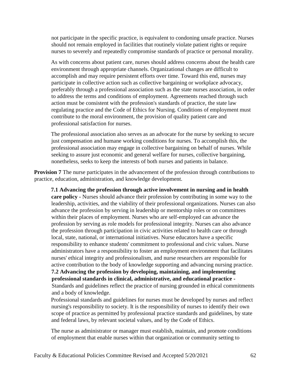not participate in the specific practice, is equivalent to condoning unsafe practice. Nurses should not remain employed in facilities that routinely violate patient rights or require nurses to severely and repeatedly compromise standards of practice or personal morality.

As with concerns about patient care, nurses should address concerns about the health care environment through appropriate channels. Organizational changes are difficult to accomplish and may require persistent efforts over time. Toward this end, nurses may participate in collective action such as collective bargaining or workplace advocacy, preferably through a professional association such as the state nurses association, in order to address the terms and conditions of employment. Agreements reached through such action must be consistent with the profession's standards of practice, the state law regulating practice and the Code of Ethics for Nursing. Conditions of employment must contribute to the moral environment, the provision of quality patient care and professional satisfaction for nurses.

The professional association also serves as an advocate for the nurse by seeking to secure just compensation and humane working conditions for nurses. To accomplish this, the professional association may engage in collective bargaining on behalf of nurses. While seeking to assure just economic and general welfare for nurses, collective bargaining, nonetheless, seeks to keep the interests of both nurses and patients in balance.

**Provision 7** The nurse participates in the advancement of the profession through contributions to practice, education, administration, and knowledge development.

**7.1 Advancing the profession through active involvement in nursing and in health care policy -** Nurses should advance their profession by contributing in some way to the leadership, activities, and the viability of their professional organizations. Nurses can also advance the profession by serving in leadership or mentorship roles or on committees within their places of employment. Nurses who are self-employed can advance the profession by serving as role models for professional integrity. Nurses can also advance the profession through participation in civic activities related to health care or through local, state, national, or international initiatives. Nurse educators have a specific responsibility to enhance students' commitment to professional and civic values. Nurse administrators have a responsibility to foster an employment environment that facilitates nurses' ethical integrity and professionalism, and nurse researchers are responsible for active contribution to the body of knowledge supporting and advancing nursing practice. **7.2 Advancing the profession by developing, maintaining, and implementing professional standards in clinical, administrative, and educational practice -** Standards and guidelines reflect the practice of nursing grounded in ethical commitments and a body of knowledge.

Professional standards and guidelines for nurses must be developed by nurses and reflect nursing's responsibility to society. It is the responsibility of nurses to identify their own scope of practice as permitted by professional practice standards and guidelines, by state and federal laws, by relevant societal values, and by the Code of Ethics.

The nurse as administrator or manager must establish, maintain, and promote conditions of employment that enable nurses within that organization or community setting to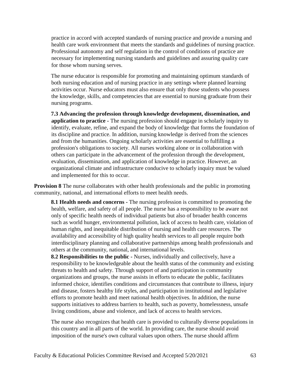practice in accord with accepted standards of nursing practice and provide a nursing and health care work environment that meets the standards and guidelines of nursing practice. Professional autonomy and self regulation in the control of conditions of practice are necessary for implementing nursing standards and guidelines and assuring quality care for those whom nursing serves.

The nurse educator is responsible for promoting and maintaining optimum standards of both nursing education and of nursing practice in any settings where planned learning activities occur. Nurse educators must also ensure that only those students who possess the knowledge, skills, and competencies that are essential to nursing graduate from their nursing programs.

**7.3 Advancing the profession through knowledge development, dissemination, and application to practice -** The nursing profession should engage in scholarly inquiry to identify, evaluate, refine, and expand the body of knowledge that forms the foundation of its discipline and practice. In addition, nursing knowledge is derived from the sciences and from the humanities. Ongoing scholarly activities are essential to fulfilling a profession's obligations to society. All nurses working alone or in collaboration with others can participate in the advancement of the profession through the development, evaluation, dissemination, and application of knowledge in practice. However, an organizational climate and infrastructure conducive to scholarly inquiry must be valued and implemented for this to occur.

**Provision 8** The nurse collaborates with other health professionals and the public in promoting community, national, and international efforts to meet health needs.

**8.1 Health needs and concerns -** The nursing profession is committed to promoting the health, welfare, and safety of all people. The nurse has a responsibility to be aware not only of specific health needs of individual patients but also of broader health concerns such as world hunger, environmental pollution, lack of access to health care, violation of human rights, and inequitable distribution of nursing and health care resources. The availability and accessibility of high quality health services to all people require both interdisciplinary planning and collaborative partnerships among health professionals and others at the community, national, and international levels.

**8.2 Responsibilities to the public -** Nurses, individually and collectively, have a responsibility to be knowledgeable about the health status of the community and existing threats to health and safety. Through support of and participation in community organizations and groups, the nurse assists in efforts to educate the public, facilitates informed choice, identifies conditions and circumstances that contribute to illness, injury and disease, fosters healthy life styles, and participation in institutional and legislative efforts to promote health and meet national health objectives. In addition, the nurse supports initiatives to address barriers to health, such as poverty, homelessness, unsafe living conditions, abuse and violence, and lack of access to health services.

The nurse also recognizes that health care is provided to culturally diverse populations in this country and in all parts of the world. In providing care, the nurse should avoid imposition of the nurse's own cultural values upon others. The nurse should affirm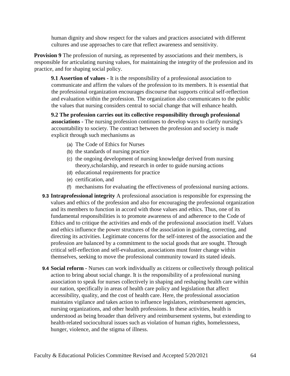human dignity and show respect for the values and practices associated with different cultures and use approaches to care that reflect awareness and sensitivity.

**Provision 9** The profession of nursing, as represented by associations and their members, is responsible for articulating nursing values, for maintaining the integrity of the profession and its practice, and for shaping social policy.

**9.1 Assertion of values -** It is the responsibility of a professional association to communicate and affirm the values of the profession to its members. It is essential that the professional organization encourages discourse that supports critical self-reflection and evaluation within the profession. The organization also communicates to the public the values that nursing considers central to social change that will enhance health.

**9.2 The profession carries out its collective responsibility through professional associations -** The nursing profession continues to develop ways to clarify nursing's accountability to society. The contract between the profession and society is made explicit through such mechanisms as

- (a) The Code of Ethics for Nurses
- (b) the standards of nursing practice
- (c) the ongoing development of nursing knowledge derived from nursing theory,scholarship, and research in order to guide nursing actions
- (d) educational requirements for practice
- (e) certification, and
- (f) mechanisms for evaluating the effectiveness of professional nursing actions.
- **9.3 Intraprofessional integrity** A professional association is responsible for expressing the values and ethics of the profession and also for encouraging the professional organization and its members to function in accord with those values and ethics. Thus, one of its fundamental responsibilities is to promote awareness of and adherence to the Code of Ethics and to critique the activities and ends of the professional association itself. Values and ethics influence the power structures of the association in guiding, correcting, and directing its activities. Legitimate concerns for the self-interest of the association and the profession are balanced by a commitment to the social goods that are sought. Through critical self-reflection and self-evaluation, associations must foster change within themselves, seeking to move the professional community toward its stated ideals.
- **9.4 Social reform -** Nurses can work individually as citizens or collectively through political action to bring about social change. It is the responsibility of a professional nursing association to speak for nurses collectively in shaping and reshaping health care within our nation, specifically in areas of health care policy and legislation that affect accessibility, quality, and the cost of health care. Here, the professional association maintains vigilance and takes action to influence legislators, reimbursement agencies, nursing organizations, and other health professions. In these activities, health is understood as being broader than delivery and reimbursement systems, but extending to health-related sociocultural issues such as violation of human rights, homelessness, hunger, violence, and the stigma of illness.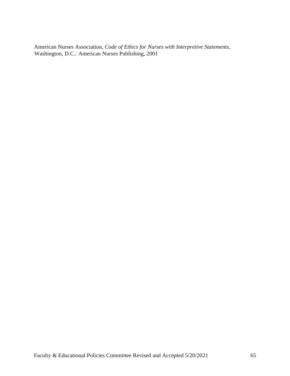American Nurses Association, *Code of Ethics for Nurses with Interpretive Statements*, Washington, D.C.: American Nurses Publishing, 2001